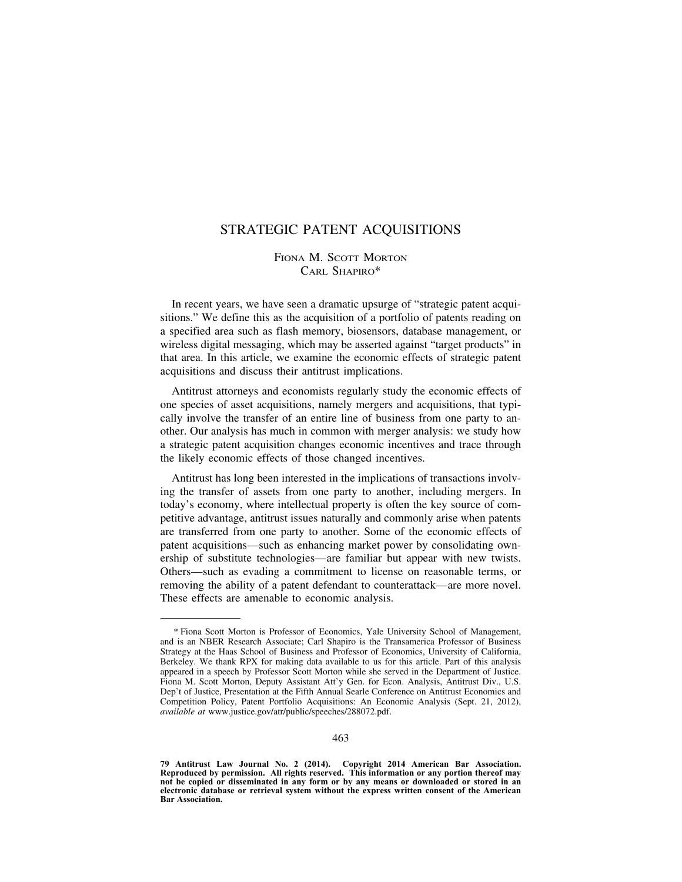# STRATEGIC PATENT ACQUISITIONS

# FIONA M. SCOTT MORTON CARL SHAPIRO\*

In recent years, we have seen a dramatic upsurge of "strategic patent acquisitions." We define this as the acquisition of a portfolio of patents reading on a specified area such as flash memory, biosensors, database management, or wireless digital messaging, which may be asserted against "target products" in that area. In this article, we examine the economic effects of strategic patent acquisitions and discuss their antitrust implications.

Antitrust attorneys and economists regularly study the economic effects of one species of asset acquisitions, namely mergers and acquisitions, that typically involve the transfer of an entire line of business from one party to another. Our analysis has much in common with merger analysis: we study how a strategic patent acquisition changes economic incentives and trace through the likely economic effects of those changed incentives.

Antitrust has long been interested in the implications of transactions involving the transfer of assets from one party to another, including mergers. In today's economy, where intellectual property is often the key source of competitive advantage, antitrust issues naturally and commonly arise when patents are transferred from one party to another. Some of the economic effects of patent acquisitions—such as enhancing market power by consolidating ownership of substitute technologies—are familiar but appear with new twists. Others—such as evading a commitment to license on reasonable terms, or removing the ability of a patent defendant to counterattack—are more novel. These effects are amenable to economic analysis.

<sup>\*</sup> Fiona Scott Morton is Professor of Economics, Yale University School of Management, and is an NBER Research Associate; Carl Shapiro is the Transamerica Professor of Business Strategy at the Haas School of Business and Professor of Economics, University of California, Berkeley. We thank RPX for making data available to us for this article. Part of this analysis appeared in a speech by Professor Scott Morton while she served in the Department of Justice. Fiona M. Scott Morton, Deputy Assistant Att'y Gen. for Econ. Analysis, Antitrust Div., U.S. Dep't of Justice, Presentation at the Fifth Annual Searle Conference on Antitrust Economics and Competition Policy, Patent Portfolio Acquisitions: An Economic Analysis (Sept. 21, 2012), *available at* www.justice.gov/atr/public/speeches/288072.pdf.

**<sup>79</sup> Antitrust Law Journal No. 2 (2014). Copyright 2014 American Bar Association. Reproduced by permission. All rights reserved. This information or any portion thereof may not be copied or disseminated in any form or by any means or downloaded or stored in an electronic database or retrieval system without the express written consent of the American Bar Association.**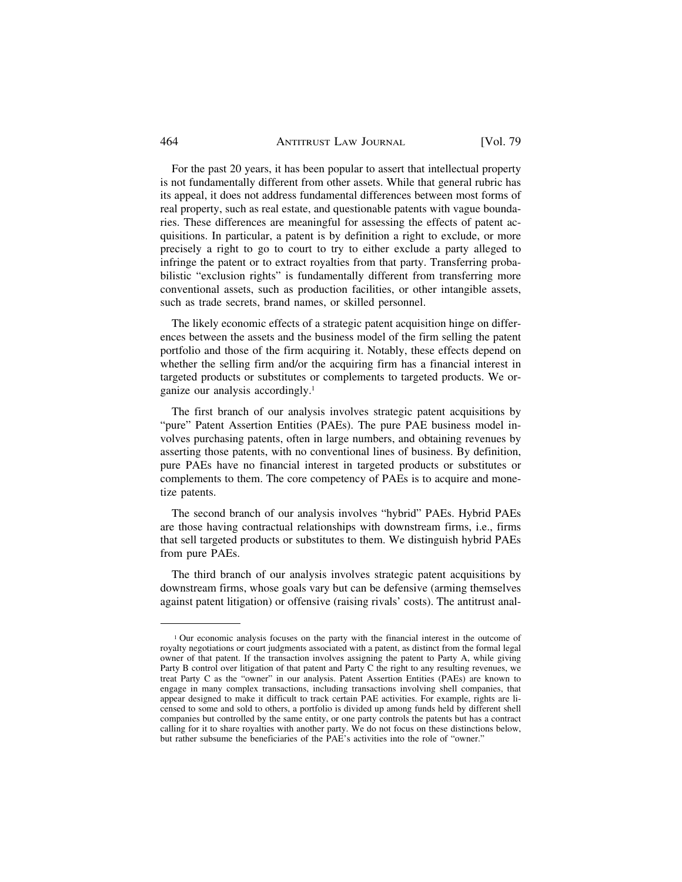#### 464 ANTITRUST LAW JOURNAL [Vol. 79

For the past 20 years, it has been popular to assert that intellectual property is not fundamentally different from other assets. While that general rubric has its appeal, it does not address fundamental differences between most forms of real property, such as real estate, and questionable patents with vague boundaries. These differences are meaningful for assessing the effects of patent acquisitions. In particular, a patent is by definition a right to exclude, or more precisely a right to go to court to try to either exclude a party alleged to infringe the patent or to extract royalties from that party. Transferring probabilistic "exclusion rights" is fundamentally different from transferring more conventional assets, such as production facilities, or other intangible assets, such as trade secrets, brand names, or skilled personnel.

The likely economic effects of a strategic patent acquisition hinge on differences between the assets and the business model of the firm selling the patent portfolio and those of the firm acquiring it. Notably, these effects depend on whether the selling firm and/or the acquiring firm has a financial interest in targeted products or substitutes or complements to targeted products. We organize our analysis accordingly.1

The first branch of our analysis involves strategic patent acquisitions by "pure" Patent Assertion Entities (PAEs). The pure PAE business model involves purchasing patents, often in large numbers, and obtaining revenues by asserting those patents, with no conventional lines of business. By definition, pure PAEs have no financial interest in targeted products or substitutes or complements to them. The core competency of PAEs is to acquire and monetize patents.

The second branch of our analysis involves "hybrid" PAEs. Hybrid PAEs are those having contractual relationships with downstream firms, i.e., firms that sell targeted products or substitutes to them. We distinguish hybrid PAEs from pure PAEs.

The third branch of our analysis involves strategic patent acquisitions by downstream firms, whose goals vary but can be defensive (arming themselves against patent litigation) or offensive (raising rivals' costs). The antitrust anal-

<sup>1</sup> Our economic analysis focuses on the party with the financial interest in the outcome of royalty negotiations or court judgments associated with a patent, as distinct from the formal legal owner of that patent. If the transaction involves assigning the patent to Party A, while giving Party B control over litigation of that patent and Party C the right to any resulting revenues, we treat Party C as the "owner" in our analysis. Patent Assertion Entities (PAEs) are known to engage in many complex transactions, including transactions involving shell companies, that appear designed to make it difficult to track certain PAE activities. For example, rights are licensed to some and sold to others, a portfolio is divided up among funds held by different shell companies but controlled by the same entity, or one party controls the patents but has a contract calling for it to share royalties with another party. We do not focus on these distinctions below, but rather subsume the beneficiaries of the PAE's activities into the role of "owner."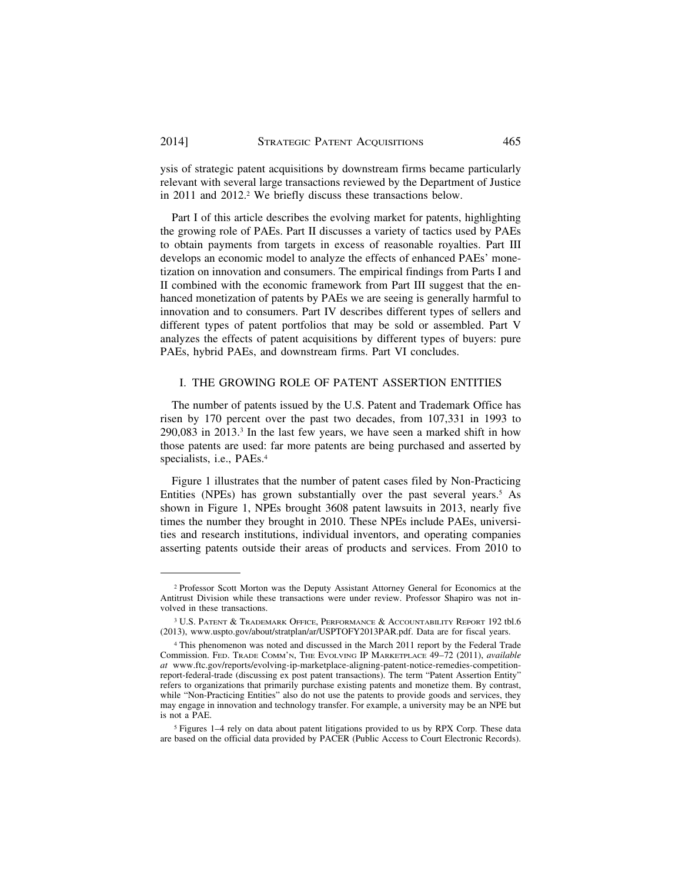ysis of strategic patent acquisitions by downstream firms became particularly relevant with several large transactions reviewed by the Department of Justice in 2011 and 2012.<sup>2</sup> We briefly discuss these transactions below.

Part I of this article describes the evolving market for patents, highlighting the growing role of PAEs. Part II discusses a variety of tactics used by PAEs to obtain payments from targets in excess of reasonable royalties. Part III develops an economic model to analyze the effects of enhanced PAEs' monetization on innovation and consumers. The empirical findings from Parts I and II combined with the economic framework from Part III suggest that the enhanced monetization of patents by PAEs we are seeing is generally harmful to innovation and to consumers. Part IV describes different types of sellers and different types of patent portfolios that may be sold or assembled. Part V analyzes the effects of patent acquisitions by different types of buyers: pure PAEs, hybrid PAEs, and downstream firms. Part VI concludes.

# I. THE GROWING ROLE OF PATENT ASSERTION ENTITIES

The number of patents issued by the U.S. Patent and Trademark Office has risen by 170 percent over the past two decades, from 107,331 in 1993 to  $290,083$  in  $2013$ <sup>3</sup>. In the last few years, we have seen a marked shift in how those patents are used: far more patents are being purchased and asserted by specialists, i.e., PAEs.<sup>4</sup>

Figure 1 illustrates that the number of patent cases filed by Non-Practicing Entities (NPEs) has grown substantially over the past several years.<sup>5</sup> As shown in Figure 1, NPEs brought 3608 patent lawsuits in 2013, nearly five times the number they brought in 2010. These NPEs include PAEs, universities and research institutions, individual inventors, and operating companies asserting patents outside their areas of products and services. From 2010 to

<sup>2</sup> Professor Scott Morton was the Deputy Assistant Attorney General for Economics at the Antitrust Division while these transactions were under review. Professor Shapiro was not involved in these transactions.

<sup>3</sup> U.S. PATENT & TRADEMARK OFFICE, PERFORMANCE & ACCOUNTABILITY REPORT 192 tbl.6 (2013), www.uspto.gov/about/stratplan/ar/USPTOFY2013PAR.pdf. Data are for fiscal years.

<sup>4</sup> This phenomenon was noted and discussed in the March 2011 report by the Federal Trade Commission. FED. TRADE COMM'N, THE EVOLVING IP MARKETPLACE 49–72 (2011), *available at* www.ftc.gov/reports/evolving-ip-marketplace-aligning-patent-notice-remedies-competitionreport-federal-trade (discussing ex post patent transactions). The term "Patent Assertion Entity" refers to organizations that primarily purchase existing patents and monetize them. By contrast, while "Non-Practicing Entities" also do not use the patents to provide goods and services, they may engage in innovation and technology transfer. For example, a university may be an NPE but is not a PAE.

<sup>5</sup> Figures 1–4 rely on data about patent litigations provided to us by RPX Corp. These data are based on the official data provided by PACER (Public Access to Court Electronic Records).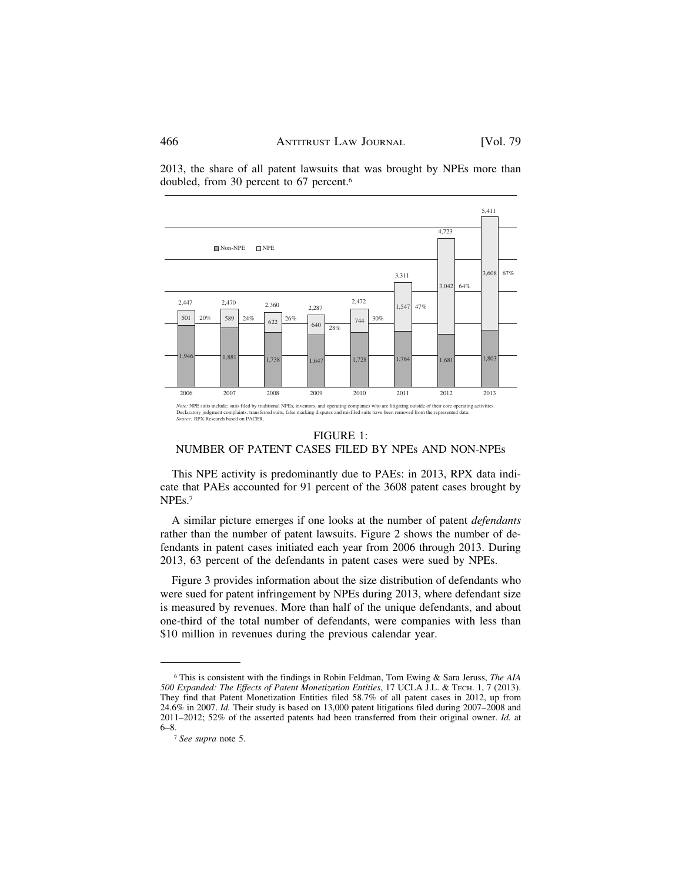2013, the share of all patent lawsuits that was brought by NPEs more than doubled, from 30 percent to 67 percent.<sup>6</sup>





This NPE activity is predominantly due to PAEs: in 2013, RPX data indicate that PAEs accounted for 91 percent of the 3608 patent cases brought by NPEs.7

A similar picture emerges if one looks at the number of patent *defendants* rather than the number of patent lawsuits. Figure 2 shows the number of defendants in patent cases initiated each year from 2006 through 2013. During 2013, 63 percent of the defendants in patent cases were sued by NPEs.

Figure 3 provides information about the size distribution of defendants who were sued for patent infringement by NPEs during 2013, where defendant size is measured by revenues. More than half of the unique defendants, and about one-third of the total number of defendants, were companies with less than \$10 million in revenues during the previous calendar year.

<sup>6</sup> This is consistent with the findings in Robin Feldman, Tom Ewing & Sara Jeruss, *The AIA 500 Expanded: The Effects of Patent Monetization Entities*, 17 UCLA J.L. & TECH. 1, 7 (2013). They find that Patent Monetization Entities filed 58.7% of all patent cases in 2012, up from 24.6% in 2007. *Id.* Their study is based on 13,000 patent litigations filed during 2007–2008 and 2011–2012; 52% of the asserted patents had been transferred from their original owner. *Id.* at

<sup>&</sup>lt;sup>7</sup> See supra note 5.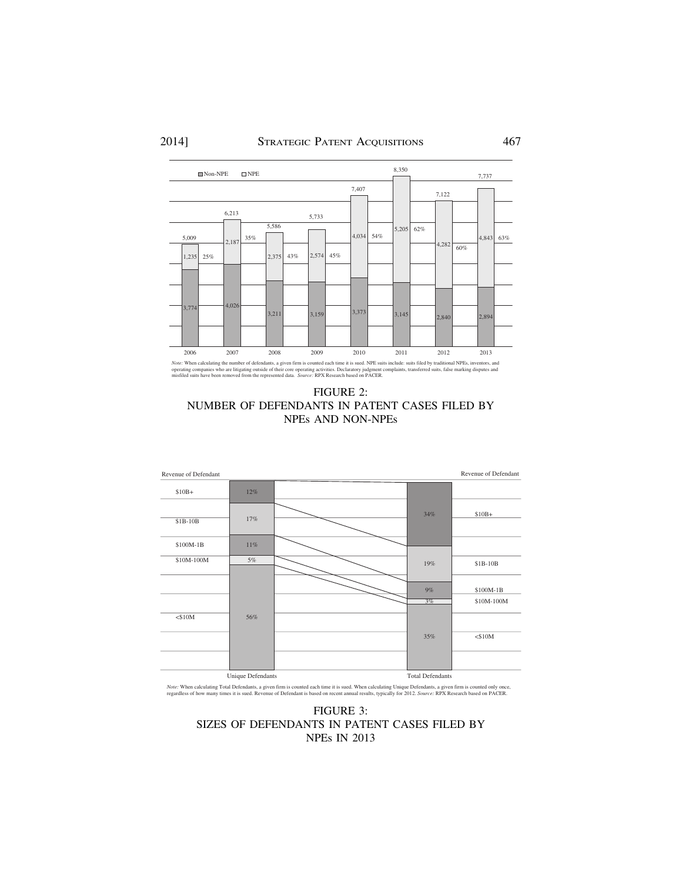





Note: When calculating Total Defendants, a given firm is counted each time it is sued. When calculating Unique Defendants, a given firm is counted only once,<br>regardless of how many times it is sued. Revenue of Defendant is

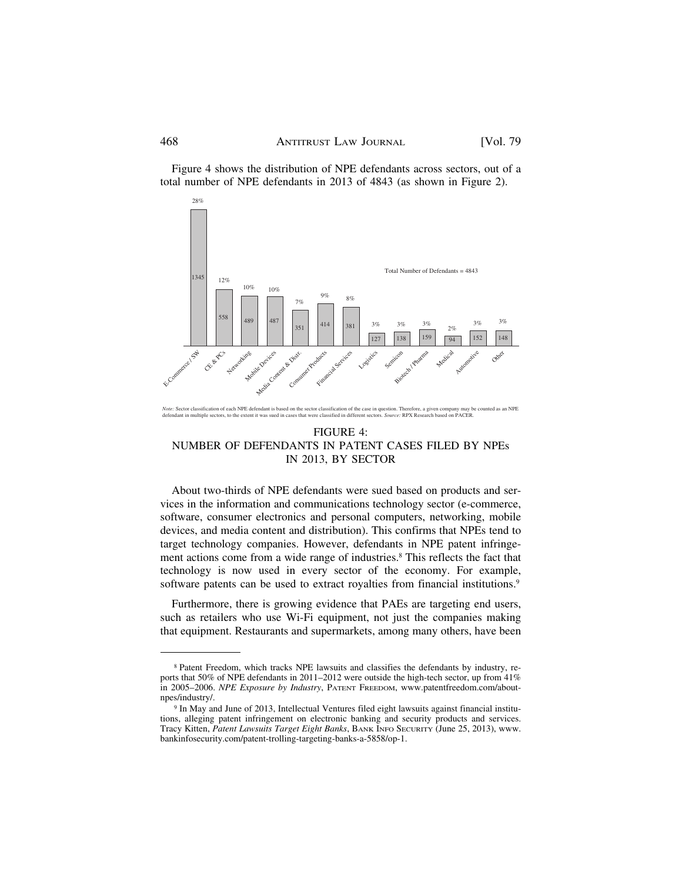Figure 4 shows the distribution of NPE defendants across sectors, out of a total number of NPE defendants in 2013 of 4843 (as shown in Figure 2).



sification of each NPE defendant is based on the sector classification of the case in question. Therefore, a given c defendant in multiple sectors, to the extent it was sued in cases that were classified in different sectors. *Source:* RPX Research based on PACER.

# FIGURE 4: NUMBER OF DEFENDANTS IN PATENT CASES FILED BY NPEs IN 2013, BY SECTOR

About two-thirds of NPE defendants were sued based on products and services in the information and communications technology sector (e-commerce, software, consumer electronics and personal computers, networking, mobile devices, and media content and distribution). This confirms that NPEs tend to target technology companies. However, defendants in NPE patent infringement actions come from a wide range of industries.<sup>8</sup> This reflects the fact that technology is now used in every sector of the economy. For example, software patents can be used to extract royalties from financial institutions.<sup>9</sup>

Furthermore, there is growing evidence that PAEs are targeting end users, such as retailers who use Wi-Fi equipment, not just the companies making that equipment. Restaurants and supermarkets, among many others, have been

<sup>8</sup> Patent Freedom, which tracks NPE lawsuits and classifies the defendants by industry, reports that 50% of NPE defendants in 2011–2012 were outside the high-tech sector, up from 41% in 2005–2006. *NPE Exposure by Industry*, PATENT FREEDOM, www.patentfreedom.com/aboutnpes/industry/.

<sup>9</sup> In May and June of 2013, Intellectual Ventures filed eight lawsuits against financial institutions, alleging patent infringement on electronic banking and security products and services. Tracy Kitten, *Patent Lawsuits Target Eight Banks*, BANK INFO SECURITY (June 25, 2013), www. bankinfosecurity.com/patent-trolling-targeting-banks-a-5858/op-1.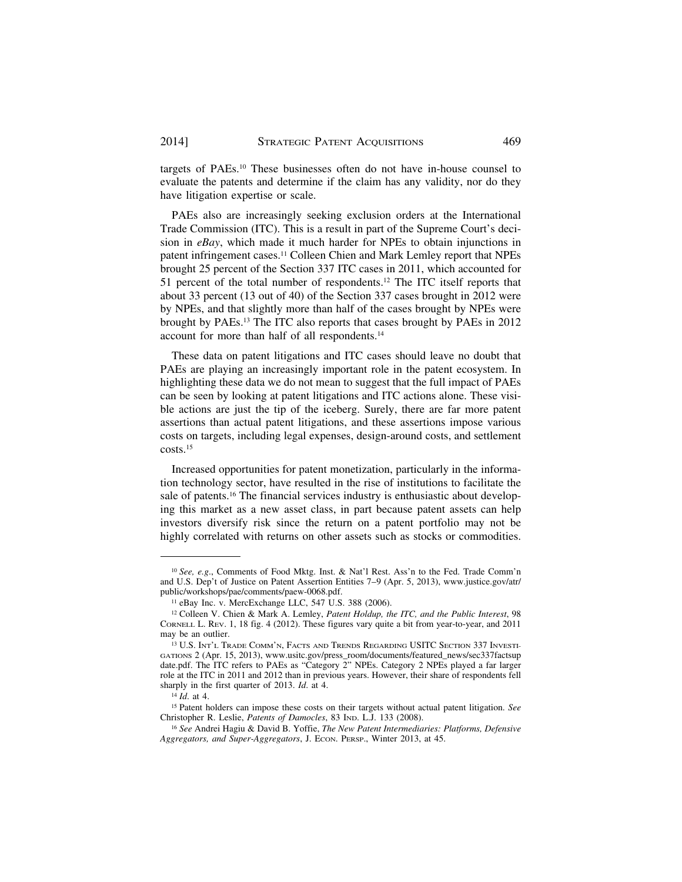targets of PAEs.10 These businesses often do not have in-house counsel to evaluate the patents and determine if the claim has any validity, nor do they have litigation expertise or scale.

PAEs also are increasingly seeking exclusion orders at the International Trade Commission (ITC). This is a result in part of the Supreme Court's decision in *eBay*, which made it much harder for NPEs to obtain injunctions in patent infringement cases.11 Colleen Chien and Mark Lemley report that NPEs brought 25 percent of the Section 337 ITC cases in 2011, which accounted for 51 percent of the total number of respondents.12 The ITC itself reports that about 33 percent (13 out of 40) of the Section 337 cases brought in 2012 were by NPEs, and that slightly more than half of the cases brought by NPEs were brought by PAEs.13 The ITC also reports that cases brought by PAEs in 2012 account for more than half of all respondents.14

These data on patent litigations and ITC cases should leave no doubt that PAEs are playing an increasingly important role in the patent ecosystem. In highlighting these data we do not mean to suggest that the full impact of PAEs can be seen by looking at patent litigations and ITC actions alone. These visible actions are just the tip of the iceberg. Surely, there are far more patent assertions than actual patent litigations, and these assertions impose various costs on targets, including legal expenses, design-around costs, and settlement costs.15

Increased opportunities for patent monetization, particularly in the information technology sector, have resulted in the rise of institutions to facilitate the sale of patents.<sup>16</sup> The financial services industry is enthusiastic about developing this market as a new asset class, in part because patent assets can help investors diversify risk since the return on a patent portfolio may not be highly correlated with returns on other assets such as stocks or commodities.

<sup>10</sup> *See, e.g*., Comments of Food Mktg. Inst. & Nat'l Rest. Ass'n to the Fed. Trade Comm'n and U.S. Dep't of Justice on Patent Assertion Entities 7–9 (Apr. 5, 2013), www.justice.gov/atr/ public/workshops/pae/comments/paew-0068.pdf.

<sup>11</sup> eBay Inc. v. MercExchange LLC, 547 U.S. 388 (2006).

<sup>12</sup> Colleen V. Chien & Mark A. Lemley, *Patent Holdup, the ITC, and the Public Interest*, 98 CORNELL L. REV. 1, 18 fig. 4 (2012). These figures vary quite a bit from year-to-year, and 2011 may be an outlier.

<sup>13</sup> U.S. INT'L TRADE COMM'N, FACTS AND TRENDS REGARDING USITC SECTION 337 INVESTI-GATIONS 2 (Apr. 15, 2013), www.usitc.gov/press\_room/documents/featured\_news/sec337factsup date.pdf. The ITC refers to PAEs as "Category 2" NPEs. Category 2 NPEs played a far larger role at the ITC in 2011 and 2012 than in previous years. However, their share of respondents fell sharply in the first quarter of 2013. *Id*. at 4.

<sup>14</sup> *Id*. at 4.

<sup>15</sup> Patent holders can impose these costs on their targets without actual patent litigation. *See* Christopher R. Leslie, *Patents of Damocles*, 83 IND. L.J. 133 (2008).

<sup>16</sup> *See* Andrei Hagiu & David B. Yoffie, *The New Patent Intermediaries: Platforms, Defensive Aggregators, and Super-Aggregators*, J. ECON. PERSP., Winter 2013, at 45.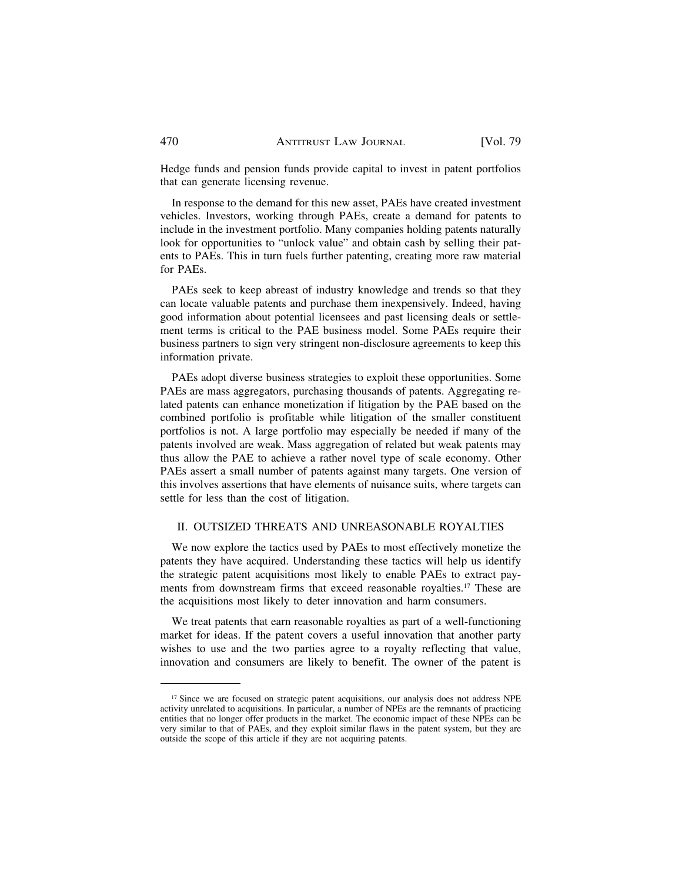Hedge funds and pension funds provide capital to invest in patent portfolios that can generate licensing revenue.

In response to the demand for this new asset, PAEs have created investment vehicles. Investors, working through PAEs, create a demand for patents to include in the investment portfolio. Many companies holding patents naturally look for opportunities to "unlock value" and obtain cash by selling their patents to PAEs. This in turn fuels further patenting, creating more raw material for PAEs.

PAEs seek to keep abreast of industry knowledge and trends so that they can locate valuable patents and purchase them inexpensively. Indeed, having good information about potential licensees and past licensing deals or settlement terms is critical to the PAE business model. Some PAEs require their business partners to sign very stringent non-disclosure agreements to keep this information private.

PAEs adopt diverse business strategies to exploit these opportunities. Some PAEs are mass aggregators, purchasing thousands of patents. Aggregating related patents can enhance monetization if litigation by the PAE based on the combined portfolio is profitable while litigation of the smaller constituent portfolios is not. A large portfolio may especially be needed if many of the patents involved are weak. Mass aggregation of related but weak patents may thus allow the PAE to achieve a rather novel type of scale economy. Other PAEs assert a small number of patents against many targets. One version of this involves assertions that have elements of nuisance suits, where targets can settle for less than the cost of litigation.

# II. OUTSIZED THREATS AND UNREASONABLE ROYALTIES

We now explore the tactics used by PAEs to most effectively monetize the patents they have acquired. Understanding these tactics will help us identify the strategic patent acquisitions most likely to enable PAEs to extract payments from downstream firms that exceed reasonable royalties.17 These are the acquisitions most likely to deter innovation and harm consumers.

We treat patents that earn reasonable royalties as part of a well-functioning market for ideas. If the patent covers a useful innovation that another party wishes to use and the two parties agree to a royalty reflecting that value, innovation and consumers are likely to benefit. The owner of the patent is

<sup>&</sup>lt;sup>17</sup> Since we are focused on strategic patent acquisitions, our analysis does not address NPE activity unrelated to acquisitions. In particular, a number of NPEs are the remnants of practicing entities that no longer offer products in the market. The economic impact of these NPEs can be very similar to that of PAEs, and they exploit similar flaws in the patent system, but they are outside the scope of this article if they are not acquiring patents.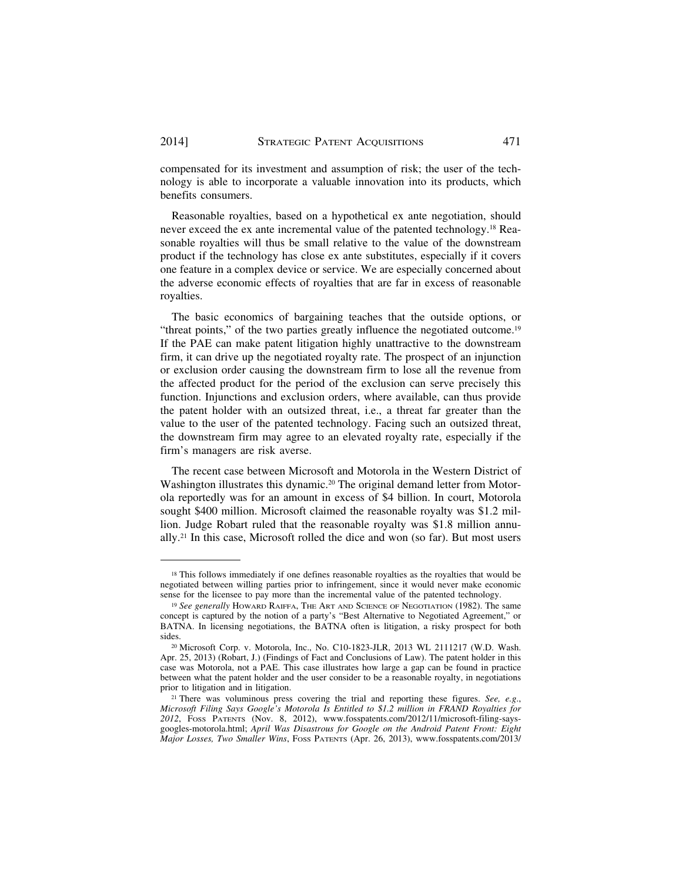compensated for its investment and assumption of risk; the user of the technology is able to incorporate a valuable innovation into its products, which benefits consumers.

Reasonable royalties, based on a hypothetical ex ante negotiation, should never exceed the ex ante incremental value of the patented technology.18 Reasonable royalties will thus be small relative to the value of the downstream product if the technology has close ex ante substitutes, especially if it covers one feature in a complex device or service. We are especially concerned about the adverse economic effects of royalties that are far in excess of reasonable royalties.

The basic economics of bargaining teaches that the outside options, or "threat points," of the two parties greatly influence the negotiated outcome.<sup>19</sup> If the PAE can make patent litigation highly unattractive to the downstream firm, it can drive up the negotiated royalty rate. The prospect of an injunction or exclusion order causing the downstream firm to lose all the revenue from the affected product for the period of the exclusion can serve precisely this function. Injunctions and exclusion orders, where available, can thus provide the patent holder with an outsized threat, i.e., a threat far greater than the value to the user of the patented technology. Facing such an outsized threat, the downstream firm may agree to an elevated royalty rate, especially if the firm's managers are risk averse.

The recent case between Microsoft and Motorola in the Western District of Washington illustrates this dynamic.<sup>20</sup> The original demand letter from Motorola reportedly was for an amount in excess of \$4 billion. In court, Motorola sought \$400 million. Microsoft claimed the reasonable royalty was \$1.2 million. Judge Robart ruled that the reasonable royalty was \$1.8 million annually.21 In this case, Microsoft rolled the dice and won (so far). But most users

<sup>&</sup>lt;sup>18</sup> This follows immediately if one defines reasonable royalties as the royalties that would be negotiated between willing parties prior to infringement, since it would never make economic sense for the licensee to pay more than the incremental value of the patented technology.

<sup>19</sup> *See generally* HOWARD RAIFFA, THE ART AND SCIENCE OF NEGOTIATION (1982). The same concept is captured by the notion of a party's "Best Alternative to Negotiated Agreement," or BATNA. In licensing negotiations, the BATNA often is litigation, a risky prospect for both sides.

<sup>20</sup> Microsoft Corp. v. Motorola, Inc., No. C10-1823-JLR, 2013 WL 2111217 (W.D. Wash. Apr. 25, 2013) (Robart, J.) (Findings of Fact and Conclusions of Law). The patent holder in this case was Motorola, not a PAE. This case illustrates how large a gap can be found in practice between what the patent holder and the user consider to be a reasonable royalty, in negotiations prior to litigation and in litigation.

<sup>21</sup> There was voluminous press covering the trial and reporting these figures. *See, e.g*., *Microsoft Filing Says Google's Motorola Is Entitled to \$1.2 million in FRAND Royalties for 2012*, FOSS PATENTS (Nov. 8, 2012), www.fosspatents.com/2012/11/microsoft-filing-saysgoogles-motorola.html; *April Was Disastrous for Google on the Android Patent Front: Eight Major Losses, Two Smaller Wins*, FOSS PATENTS (Apr. 26, 2013), www.fosspatents.com/2013/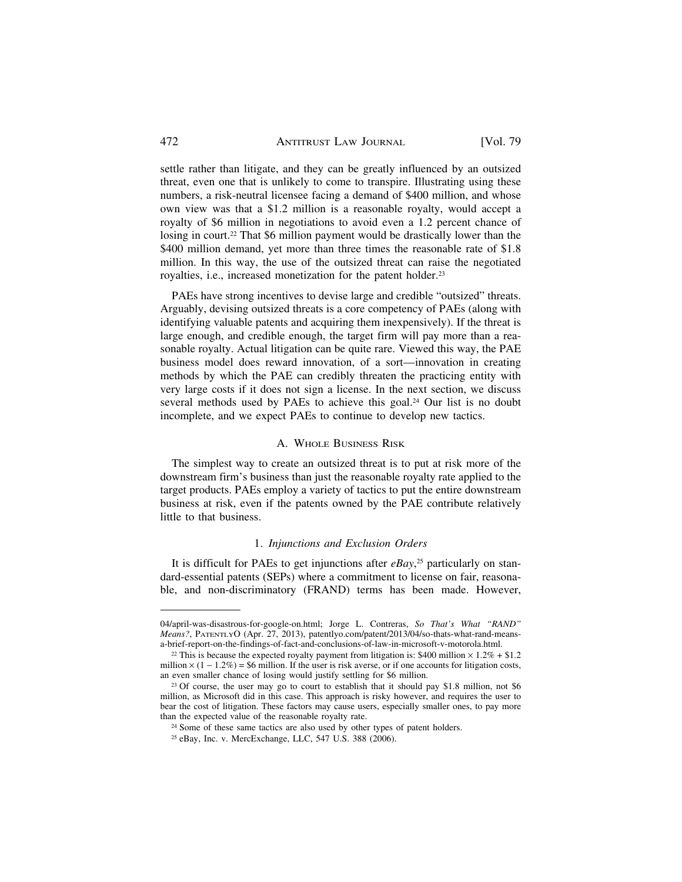settle rather than litigate, and they can be greatly influenced by an outsized threat, even one that is unlikely to come to transpire. Illustrating using these numbers, a risk-neutral licensee facing a demand of \$400 million, and whose own view was that a \$1.2 million is a reasonable royalty, would accept a royalty of \$6 million in negotiations to avoid even a 1.2 percent chance of losing in court.<sup>22</sup> That \$6 million payment would be drastically lower than the \$400 million demand, yet more than three times the reasonable rate of \$1.8 million. In this way, the use of the outsized threat can raise the negotiated royalties, i.e., increased monetization for the patent holder.23

PAEs have strong incentives to devise large and credible "outsized" threats. Arguably, devising outsized threats is a core competency of PAEs (along with identifying valuable patents and acquiring them inexpensively). If the threat is large enough, and credible enough, the target firm will pay more than a reasonable royalty. Actual litigation can be quite rare. Viewed this way, the PAE business model does reward innovation, of a sort—innovation in creating methods by which the PAE can credibly threaten the practicing entity with very large costs if it does not sign a license. In the next section, we discuss several methods used by PAEs to achieve this goal.<sup>24</sup> Our list is no doubt incomplete, and we expect PAEs to continue to develop new tactics.

#### A. WHOLE BUSINESS RISK

The simplest way to create an outsized threat is to put at risk more of the downstream firm's business than just the reasonable royalty rate applied to the target products. PAEs employ a variety of tactics to put the entire downstream business at risk, even if the patents owned by the PAE contribute relatively little to that business.

#### 1. *Injunctions and Exclusion Orders*

It is difficult for PAEs to get injunctions after *eBay*, 25 particularly on standard-essential patents (SEPs) where a commitment to license on fair, reasonable, and non-discriminatory (FRAND) terms has been made. However,

<sup>04/</sup>april-was-disastrous-for-google-on.html; Jorge L. Contreras, *So That's What "RAND" Means?*, PATENTLYO (Apr. 27, 2013), patentlyo.com/patent/2013/04/so-thats-what-rand-meansa-brief-report-on-the-findings-of-fact-and-conclusions-of-law-in-microsoft-v-motorola.html.

<sup>&</sup>lt;sup>22</sup> This is because the expected royalty payment from litigation is: \$400 million  $\times$  1.2% + \$1.2 million  $\times$  (1 – 1.2%) = \$6 million. If the user is risk averse, or if one accounts for litigation costs, an even smaller chance of losing would justify settling for \$6 million.

<sup>&</sup>lt;sup>23</sup> Of course, the user may go to court to establish that it should pay \$1.8 million, not \$6 million, as Microsoft did in this case. This approach is risky however, and requires the user to bear the cost of litigation. These factors may cause users, especially smaller ones, to pay more than the expected value of the reasonable royalty rate.

<sup>24</sup> Some of these same tactics are also used by other types of patent holders.

<sup>25</sup> eBay, Inc. v. MercExchange, LLC, 547 U.S. 388 (2006).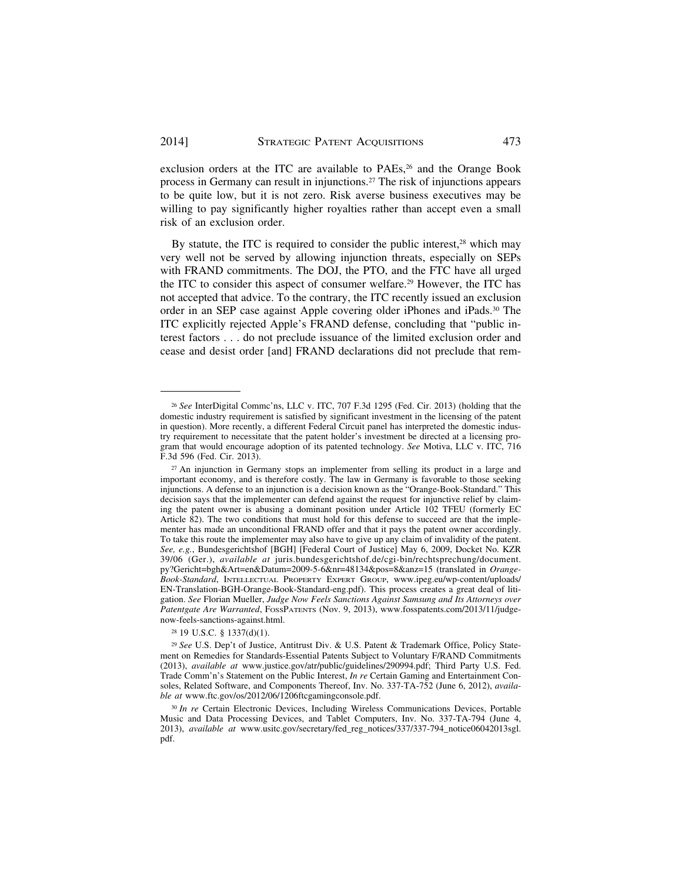exclusion orders at the ITC are available to PAEs,<sup>26</sup> and the Orange Book process in Germany can result in injunctions.27 The risk of injunctions appears to be quite low, but it is not zero. Risk averse business executives may be willing to pay significantly higher royalties rather than accept even a small risk of an exclusion order.

By statute, the ITC is required to consider the public interest,<sup>28</sup> which may very well not be served by allowing injunction threats, especially on SEPs with FRAND commitments. The DOJ, the PTO, and the FTC have all urged the ITC to consider this aspect of consumer welfare.29 However, the ITC has not accepted that advice. To the contrary, the ITC recently issued an exclusion order in an SEP case against Apple covering older iPhones and iPads.30 The ITC explicitly rejected Apple's FRAND defense, concluding that "public interest factors . . . do not preclude issuance of the limited exclusion order and cease and desist order [and] FRAND declarations did not preclude that rem-

<sup>28</sup> 19 U.S.C. § 1337(d)(1).

<sup>26</sup> *See* InterDigital Commc'ns, LLC v. ITC, 707 F.3d 1295 (Fed. Cir. 2013) (holding that the domestic industry requirement is satisfied by significant investment in the licensing of the patent in question). More recently, a different Federal Circuit panel has interpreted the domestic industry requirement to necessitate that the patent holder's investment be directed at a licensing program that would encourage adoption of its patented technology. *See* Motiva, LLC v. ITC, 716 F.3d 596 (Fed. Cir. 2013).

<sup>27</sup> An injunction in Germany stops an implementer from selling its product in a large and important economy, and is therefore costly. The law in Germany is favorable to those seeking injunctions. A defense to an injunction is a decision known as the "Orange-Book-Standard." This decision says that the implementer can defend against the request for injunctive relief by claiming the patent owner is abusing a dominant position under Article 102 TFEU (formerly EC Article 82). The two conditions that must hold for this defense to succeed are that the implementer has made an unconditional FRAND offer and that it pays the patent owner accordingly. To take this route the implementer may also have to give up any claim of invalidity of the patent. *See, e.g.*, Bundesgerichtshof [BGH] [Federal Court of Justice] May 6, 2009, Docket No. KZR 39/06 (Ger.), *available at* juris.bundesgerichtshof.de/cgi-bin/rechtsprechung/document. py?Gericht=bgh&Art=en&Datum=2009-5-6&nr=48134&pos=8&anz=15 (translated in *Orange-Book-Standard*, INTELLECTUAL PROPERTY EXPERT GROUP, www.ipeg.eu/wp-content/uploads/ EN-Translation-BGH-Orange-Book-Standard-eng.pdf). This process creates a great deal of litigation. *See* Florian Mueller, *Judge Now Feels Sanctions Against Samsung and Its Attorneys over Patentgate Are Warranted*, FOSSPATENTS (Nov. 9, 2013), www.fosspatents.com/2013/11/judgenow-feels-sanctions-against.html.

<sup>29</sup> *See* U.S. Dep't of Justice, Antitrust Div. & U.S. Patent & Trademark Office, Policy Statement on Remedies for Standards-Essential Patents Subject to Voluntary F/RAND Commitments (2013), *available at* www.justice.gov/atr/public/guidelines/290994.pdf; Third Party U.S. Fed. Trade Comm'n's Statement on the Public Interest, *In re* Certain Gaming and Entertainment Consoles, Related Software, and Components Thereof, Inv. No. 337-TA-752 (June 6, 2012), *available at* www.ftc.gov/os/2012/06/1206ftcgamingconsole.pdf.

<sup>30</sup> *In re* Certain Electronic Devices, Including Wireless Communications Devices, Portable Music and Data Processing Devices, and Tablet Computers, Inv. No. 337-TA-794 (June 4, 2013), *available at* www.usitc.gov/secretary/fed\_reg\_notices/337/337-794\_notice06042013sgl. pdf.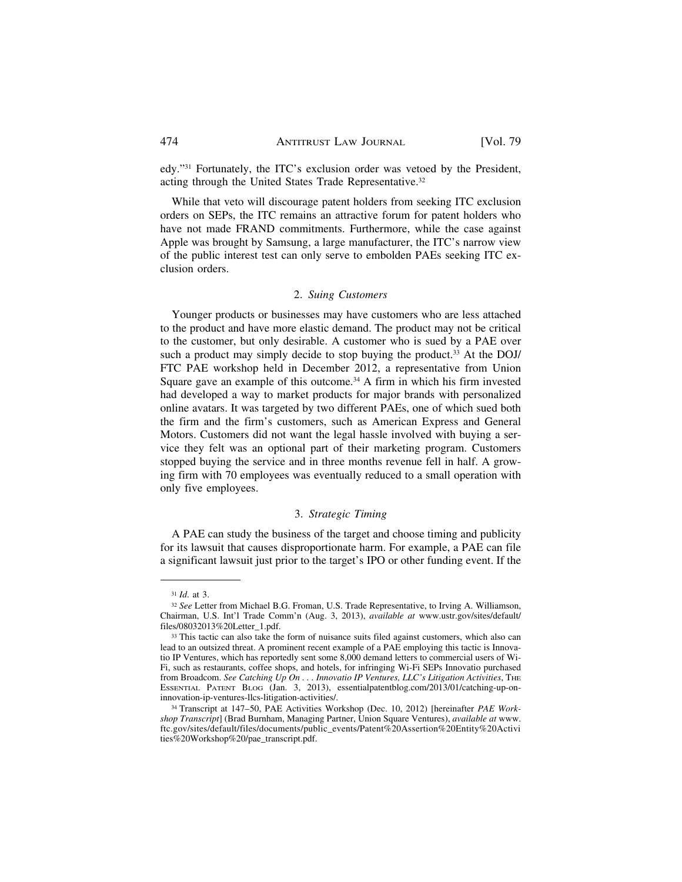edy."31 Fortunately, the ITC's exclusion order was vetoed by the President, acting through the United States Trade Representative.<sup>32</sup>

While that veto will discourage patent holders from seeking ITC exclusion orders on SEPs, the ITC remains an attractive forum for patent holders who have not made FRAND commitments. Furthermore, while the case against Apple was brought by Samsung, a large manufacturer, the ITC's narrow view of the public interest test can only serve to embolden PAEs seeking ITC exclusion orders.

#### 2. *Suing Customers*

Younger products or businesses may have customers who are less attached to the product and have more elastic demand. The product may not be critical to the customer, but only desirable. A customer who is sued by a PAE over such a product may simply decide to stop buying the product.<sup>33</sup> At the DOJ/ FTC PAE workshop held in December 2012, a representative from Union Square gave an example of this outcome.<sup>34</sup> A firm in which his firm invested had developed a way to market products for major brands with personalized online avatars. It was targeted by two different PAEs, one of which sued both the firm and the firm's customers, such as American Express and General Motors. Customers did not want the legal hassle involved with buying a service they felt was an optional part of their marketing program. Customers stopped buying the service and in three months revenue fell in half. A growing firm with 70 employees was eventually reduced to a small operation with only five employees.

### 3. *Strategic Timing*

A PAE can study the business of the target and choose timing and publicity for its lawsuit that causes disproportionate harm. For example, a PAE can file a significant lawsuit just prior to the target's IPO or other funding event. If the

<sup>31</sup> *Id*. at 3.

<sup>32</sup> *See* Letter from Michael B.G. Froman, U.S. Trade Representative, to Irving A. Williamson, Chairman, U.S. Int'l Trade Comm'n (Aug. 3, 2013), *available at* www.ustr.gov/sites/default/ files/08032013%20Letter\_1.pdf.

<sup>&</sup>lt;sup>33</sup> This tactic can also take the form of nuisance suits filed against customers, which also can lead to an outsized threat. A prominent recent example of a PAE employing this tactic is Innovatio IP Ventures, which has reportedly sent some 8,000 demand letters to commercial users of Wi-Fi, such as restaurants, coffee shops, and hotels, for infringing Wi-Fi SEPs Innovatio purchased from Broadcom. See Catching Up On . . . Innovatio IP Ventures, LLC's Litigation Activities, THE ESSENTIAL PATENT BLOG (Jan. 3, 2013), essentialpatentblog.com/2013/01/catching-up-oninnovation-ip-ventures-llcs-litigation-activities/.

<sup>34</sup> Transcript at 147–50, PAE Activities Workshop (Dec. 10, 2012) [hereinafter *PAE Workshop Transcript*] (Brad Burnham, Managing Partner, Union Square Ventures), *available at* www. ftc.gov/sites/default/files/documents/public\_events/Patent%20Assertion%20Entity%20Activi ties%20Workshop%20/pae\_transcript.pdf.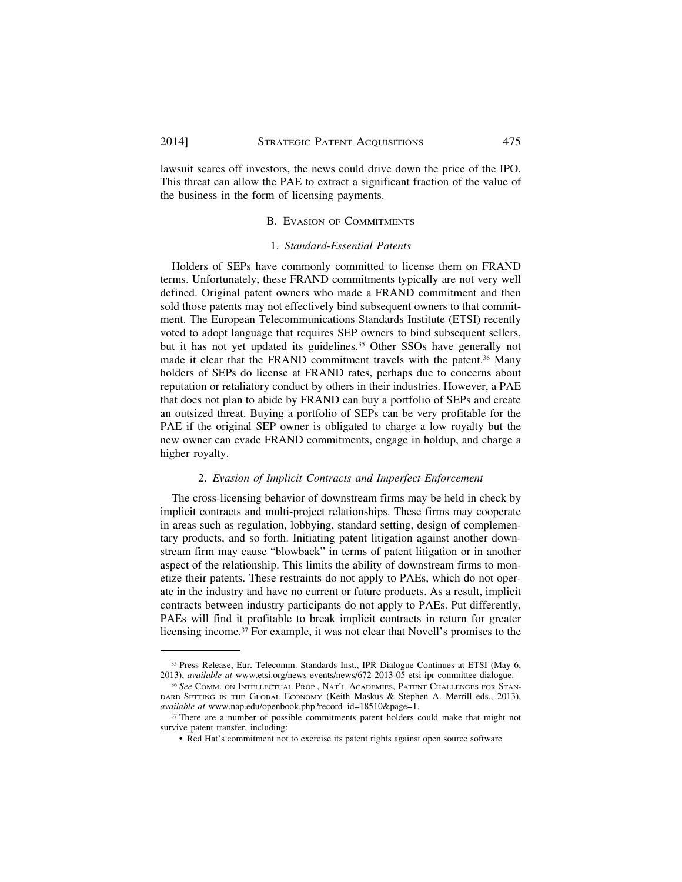lawsuit scares off investors, the news could drive down the price of the IPO. This threat can allow the PAE to extract a significant fraction of the value of the business in the form of licensing payments.

# B. EVASION OF COMMITMENTS

#### 1. *Standard-Essential Patents*

Holders of SEPs have commonly committed to license them on FRAND terms. Unfortunately, these FRAND commitments typically are not very well defined. Original patent owners who made a FRAND commitment and then sold those patents may not effectively bind subsequent owners to that commitment. The European Telecommunications Standards Institute (ETSI) recently voted to adopt language that requires SEP owners to bind subsequent sellers, but it has not yet updated its guidelines.<sup>35</sup> Other SSOs have generally not made it clear that the FRAND commitment travels with the patent.<sup>36</sup> Many holders of SEPs do license at FRAND rates, perhaps due to concerns about reputation or retaliatory conduct by others in their industries. However, a PAE that does not plan to abide by FRAND can buy a portfolio of SEPs and create an outsized threat. Buying a portfolio of SEPs can be very profitable for the PAE if the original SEP owner is obligated to charge a low royalty but the new owner can evade FRAND commitments, engage in holdup, and charge a higher royalty.

#### 2. *Evasion of Implicit Contracts and Imperfect Enforcement*

The cross-licensing behavior of downstream firms may be held in check by implicit contracts and multi-project relationships. These firms may cooperate in areas such as regulation, lobbying, standard setting, design of complementary products, and so forth. Initiating patent litigation against another downstream firm may cause "blowback" in terms of patent litigation or in another aspect of the relationship. This limits the ability of downstream firms to monetize their patents. These restraints do not apply to PAEs, which do not operate in the industry and have no current or future products. As a result, implicit contracts between industry participants do not apply to PAEs. Put differently, PAEs will find it profitable to break implicit contracts in return for greater licensing income.37 For example, it was not clear that Novell's promises to the

<sup>35</sup> Press Release, Eur. Telecomm. Standards Inst., IPR Dialogue Continues at ETSI (May 6, 2013), *available at* www.etsi.org/news-events/news/672-2013-05-etsi-ipr-committee-dialogue.

<sup>36</sup> *See* COMM. ON INTELLECTUAL PROP., NAT'L ACADEMIES, PATENT CHALLENGES FOR STAN-DARD-SETTING IN THE GLOBAL ECONOMY (Keith Maskus & Stephen A. Merrill eds., 2013), *available at* www.nap.edu/openbook.php?record\_id=18510&page=1.

<sup>&</sup>lt;sup>37</sup> There are a number of possible commitments patent holders could make that might not survive patent transfer, including:

<sup>•</sup> Red Hat's commitment not to exercise its patent rights against open source software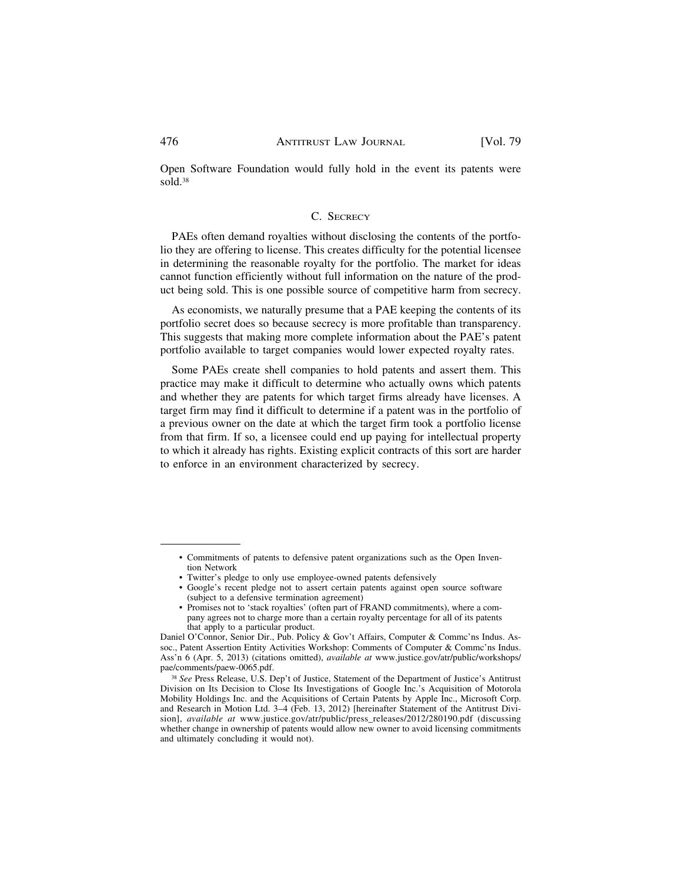Open Software Foundation would fully hold in the event its patents were sold.38

### C. SECRECY

PAEs often demand royalties without disclosing the contents of the portfolio they are offering to license. This creates difficulty for the potential licensee in determining the reasonable royalty for the portfolio. The market for ideas cannot function efficiently without full information on the nature of the product being sold. This is one possible source of competitive harm from secrecy.

As economists, we naturally presume that a PAE keeping the contents of its portfolio secret does so because secrecy is more profitable than transparency. This suggests that making more complete information about the PAE's patent portfolio available to target companies would lower expected royalty rates.

Some PAEs create shell companies to hold patents and assert them. This practice may make it difficult to determine who actually owns which patents and whether they are patents for which target firms already have licenses. A target firm may find it difficult to determine if a patent was in the portfolio of a previous owner on the date at which the target firm took a portfolio license from that firm. If so, a licensee could end up paying for intellectual property to which it already has rights. Existing explicit contracts of this sort are harder to enforce in an environment characterized by secrecy.

<sup>•</sup> Commitments of patents to defensive patent organizations such as the Open Invention Network

<sup>•</sup> Twitter's pledge to only use employee-owned patents defensively

<sup>•</sup> Google's recent pledge not to assert certain patents against open source software (subject to a defensive termination agreement)

<sup>•</sup> Promises not to 'stack royalties' (often part of FRAND commitments), where a company agrees not to charge more than a certain royalty percentage for all of its patents that apply to a particular product.

Daniel O'Connor, Senior Dir., Pub. Policy & Gov't Affairs, Computer & Commc'ns Indus. Assoc., Patent Assertion Entity Activities Workshop: Comments of Computer & Commc'ns Indus. Ass'n 6 (Apr. 5, 2013) (citations omitted), *available at* www.justice.gov/atr/public/workshops/ pae/comments/paew-0065.pdf.

<sup>38</sup> *See* Press Release, U.S. Dep't of Justice, Statement of the Department of Justice's Antitrust Division on Its Decision to Close Its Investigations of Google Inc.'s Acquisition of Motorola Mobility Holdings Inc. and the Acquisitions of Certain Patents by Apple Inc., Microsoft Corp. and Research in Motion Ltd. 3–4 (Feb. 13, 2012) [hereinafter Statement of the Antitrust Division], *available at* www.justice.gov/atr/public/press\_releases/2012/280190.pdf (discussing whether change in ownership of patents would allow new owner to avoid licensing commitments and ultimately concluding it would not).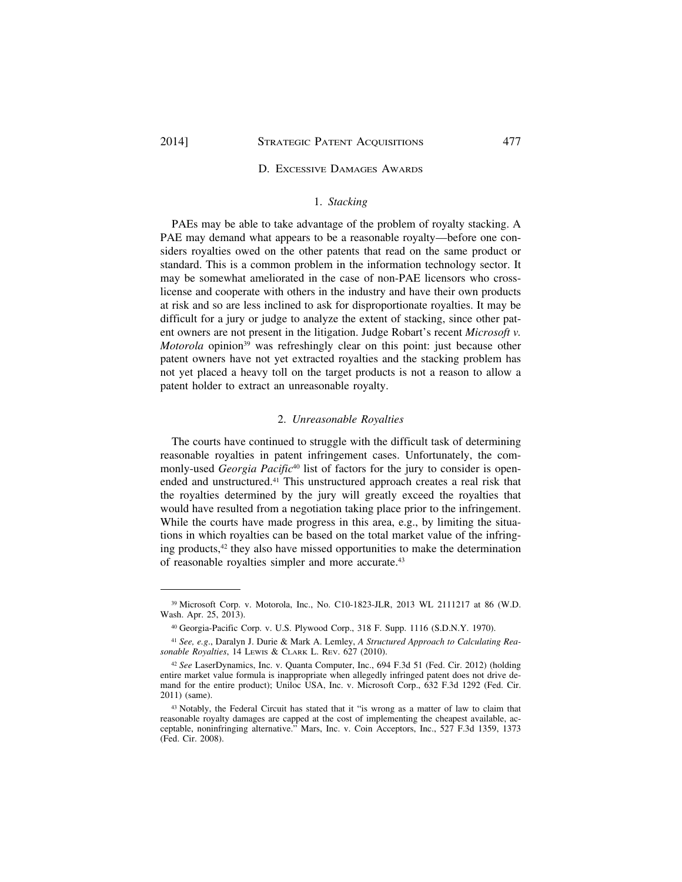#### D. EXCESSIVE DAMAGES AWARDS

### 1. *Stacking*

PAEs may be able to take advantage of the problem of royalty stacking. A PAE may demand what appears to be a reasonable royalty—before one considers royalties owed on the other patents that read on the same product or standard. This is a common problem in the information technology sector. It may be somewhat ameliorated in the case of non-PAE licensors who crosslicense and cooperate with others in the industry and have their own products at risk and so are less inclined to ask for disproportionate royalties. It may be difficult for a jury or judge to analyze the extent of stacking, since other patent owners are not present in the litigation. Judge Robart's recent *Microsoft v. Motorola* opinion<sup>39</sup> was refreshingly clear on this point: just because other patent owners have not yet extracted royalties and the stacking problem has not yet placed a heavy toll on the target products is not a reason to allow a patent holder to extract an unreasonable royalty.

#### 2. *Unreasonable Royalties*

The courts have continued to struggle with the difficult task of determining reasonable royalties in patent infringement cases. Unfortunately, the commonly-used *Georgia Pacific*<sup>40</sup> list of factors for the jury to consider is openended and unstructured.41 This unstructured approach creates a real risk that the royalties determined by the jury will greatly exceed the royalties that would have resulted from a negotiation taking place prior to the infringement. While the courts have made progress in this area, e.g., by limiting the situations in which royalties can be based on the total market value of the infringing products,42 they also have missed opportunities to make the determination of reasonable royalties simpler and more accurate.43

<sup>39</sup> Microsoft Corp. v. Motorola, Inc., No. C10-1823-JLR, 2013 WL 2111217 at 86 (W.D. Wash. Apr. 25, 2013).

<sup>40</sup> Georgia-Pacific Corp. v. U.S. Plywood Corp., 318 F. Supp. 1116 (S.D.N.Y. 1970).

<sup>41</sup> *See, e.g*., Daralyn J. Durie & Mark A. Lemley, *A Structured Approach to Calculating Reasonable Royalties*, 14 LEWIS & CLARK L. REV. 627 (2010).

<sup>42</sup> *See* LaserDynamics, Inc. v. Quanta Computer, Inc., 694 F.3d 51 (Fed. Cir. 2012) (holding entire market value formula is inappropriate when allegedly infringed patent does not drive demand for the entire product); Uniloc USA, Inc. v. Microsoft Corp., 632 F.3d 1292 (Fed. Cir. 2011) (same).

<sup>43</sup> Notably, the Federal Circuit has stated that it "is wrong as a matter of law to claim that reasonable royalty damages are capped at the cost of implementing the cheapest available, acceptable, noninfringing alternative." Mars, Inc. v. Coin Acceptors, Inc., 527 F.3d 1359, 1373 (Fed. Cir. 2008).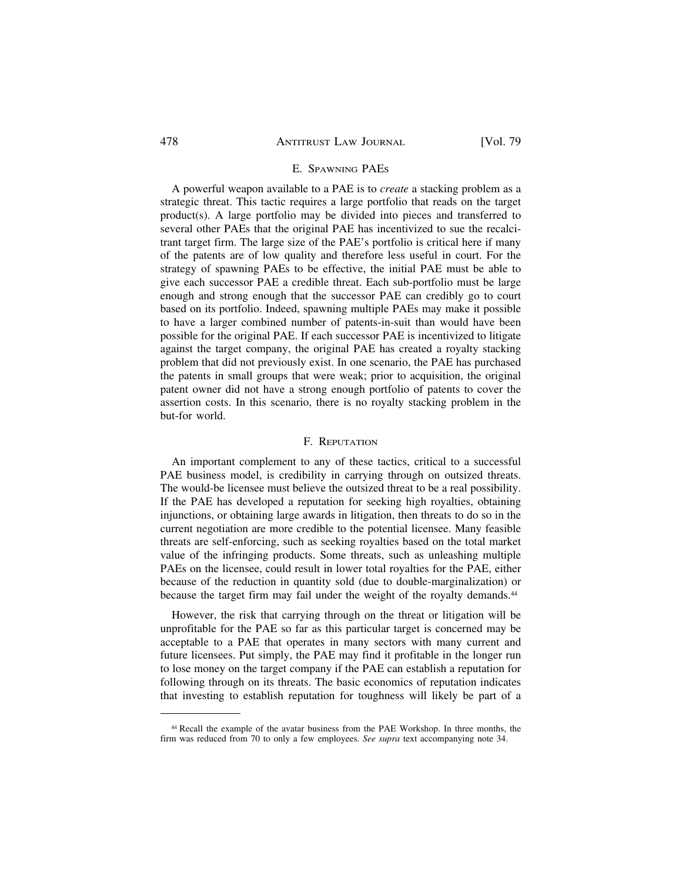#### E. SPAWNING PAES

A powerful weapon available to a PAE is to *create* a stacking problem as a strategic threat. This tactic requires a large portfolio that reads on the target product(s). A large portfolio may be divided into pieces and transferred to several other PAEs that the original PAE has incentivized to sue the recalcitrant target firm. The large size of the PAE's portfolio is critical here if many of the patents are of low quality and therefore less useful in court. For the strategy of spawning PAEs to be effective, the initial PAE must be able to give each successor PAE a credible threat. Each sub-portfolio must be large enough and strong enough that the successor PAE can credibly go to court based on its portfolio. Indeed, spawning multiple PAEs may make it possible to have a larger combined number of patents-in-suit than would have been possible for the original PAE. If each successor PAE is incentivized to litigate against the target company, the original PAE has created a royalty stacking problem that did not previously exist. In one scenario, the PAE has purchased the patents in small groups that were weak; prior to acquisition, the original patent owner did not have a strong enough portfolio of patents to cover the assertion costs. In this scenario, there is no royalty stacking problem in the but-for world.

# F. REPUTATION

An important complement to any of these tactics, critical to a successful PAE business model, is credibility in carrying through on outsized threats. The would-be licensee must believe the outsized threat to be a real possibility. If the PAE has developed a reputation for seeking high royalties, obtaining injunctions, or obtaining large awards in litigation, then threats to do so in the current negotiation are more credible to the potential licensee. Many feasible threats are self-enforcing, such as seeking royalties based on the total market value of the infringing products. Some threats, such as unleashing multiple PAEs on the licensee, could result in lower total royalties for the PAE, either because of the reduction in quantity sold (due to double-marginalization) or because the target firm may fail under the weight of the royalty demands.44

However, the risk that carrying through on the threat or litigation will be unprofitable for the PAE so far as this particular target is concerned may be acceptable to a PAE that operates in many sectors with many current and future licensees. Put simply, the PAE may find it profitable in the longer run to lose money on the target company if the PAE can establish a reputation for following through on its threats. The basic economics of reputation indicates that investing to establish reputation for toughness will likely be part of a

<sup>44</sup> Recall the example of the avatar business from the PAE Workshop. In three months, the firm was reduced from 70 to only a few employees. *See supra* text accompanying note 34.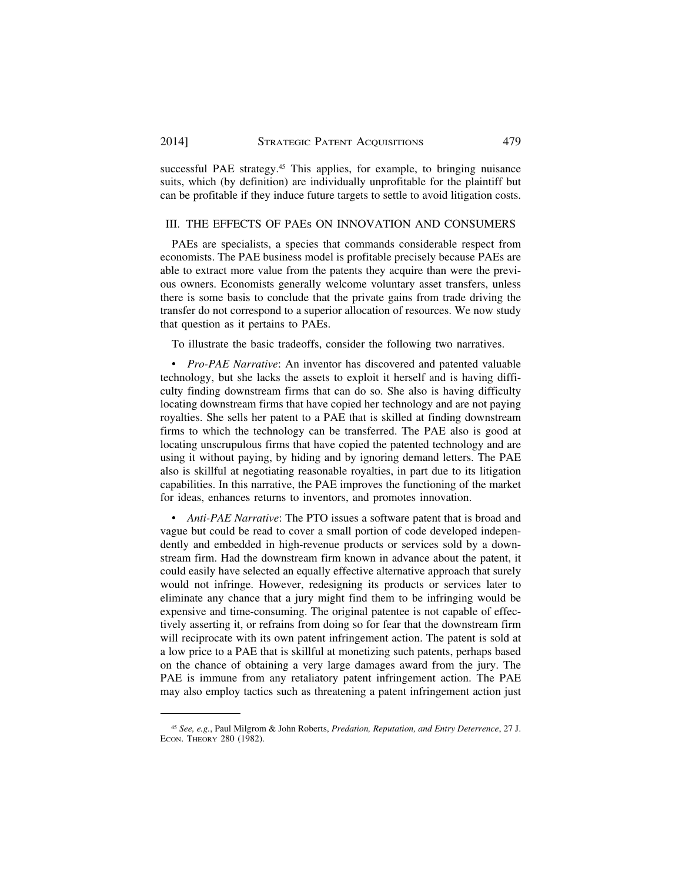successful PAE strategy.<sup>45</sup> This applies, for example, to bringing nuisance suits, which (by definition) are individually unprofitable for the plaintiff but can be profitable if they induce future targets to settle to avoid litigation costs.

#### III. THE EFFECTS OF PAES ON INNOVATION AND CONSUMERS

PAEs are specialists, a species that commands considerable respect from economists. The PAE business model is profitable precisely because PAEs are able to extract more value from the patents they acquire than were the previous owners. Economists generally welcome voluntary asset transfers, unless there is some basis to conclude that the private gains from trade driving the transfer do not correspond to a superior allocation of resources. We now study that question as it pertains to PAEs.

To illustrate the basic tradeoffs, consider the following two narratives.

• *Pro-PAE Narrative*: An inventor has discovered and patented valuable technology, but she lacks the assets to exploit it herself and is having difficulty finding downstream firms that can do so. She also is having difficulty locating downstream firms that have copied her technology and are not paying royalties. She sells her patent to a PAE that is skilled at finding downstream firms to which the technology can be transferred. The PAE also is good at locating unscrupulous firms that have copied the patented technology and are using it without paying, by hiding and by ignoring demand letters. The PAE also is skillful at negotiating reasonable royalties, in part due to its litigation capabilities. In this narrative, the PAE improves the functioning of the market for ideas, enhances returns to inventors, and promotes innovation.

• *Anti-PAE Narrative*: The PTO issues a software patent that is broad and vague but could be read to cover a small portion of code developed independently and embedded in high-revenue products or services sold by a downstream firm. Had the downstream firm known in advance about the patent, it could easily have selected an equally effective alternative approach that surely would not infringe. However, redesigning its products or services later to eliminate any chance that a jury might find them to be infringing would be expensive and time-consuming. The original patentee is not capable of effectively asserting it, or refrains from doing so for fear that the downstream firm will reciprocate with its own patent infringement action. The patent is sold at a low price to a PAE that is skillful at monetizing such patents, perhaps based on the chance of obtaining a very large damages award from the jury. The PAE is immune from any retaliatory patent infringement action. The PAE may also employ tactics such as threatening a patent infringement action just

<sup>45</sup> *See, e.g.*, Paul Milgrom & John Roberts, *Predation, Reputation, and Entry Deterrence*, 27 J. ECON. THEORY 280 (1982).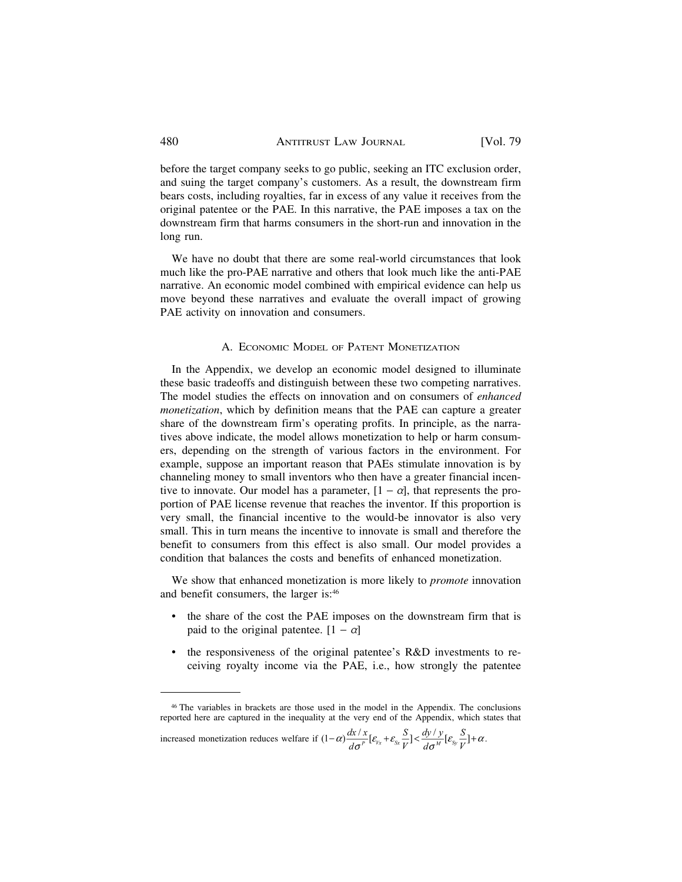before the target company seeks to go public, seeking an ITC exclusion order, and suing the target company's customers. As a result, the downstream firm bears costs, including royalties, far in excess of any value it receives from the original patentee or the PAE. In this narrative, the PAE imposes a tax on the downstream firm that harms consumers in the short-run and innovation in the long run.

We have no doubt that there are some real-world circumstances that look much like the pro-PAE narrative and others that look much like the anti-PAE narrative. An economic model combined with empirical evidence can help us move beyond these narratives and evaluate the overall impact of growing PAE activity on innovation and consumers.

#### A. ECONOMIC MODEL OF PATENT MONETIZATION

In the Appendix, we develop an economic model designed to illuminate these basic tradeoffs and distinguish between these two competing narratives. The model studies the effects on innovation and on consumers of *enhanced monetization*, which by definition means that the PAE can capture a greater share of the downstream firm's operating profits. In principle, as the narratives above indicate, the model allows monetization to help or harm consumers, depending on the strength of various factors in the environment. For example, suppose an important reason that PAEs stimulate innovation is by channeling money to small inventors who then have a greater financial incentive to innovate. Our model has a parameter,  $[1 - \alpha]$ , that represents the proportion of PAE license revenue that reaches the inventor. If this proportion is very small, the financial incentive to the would-be innovator is also very small. This in turn means the incentive to innovate is small and therefore the benefit to consumers from this effect is also small. Our model provides a condition that balances the costs and benefits of enhanced monetization.

We show that enhanced monetization is more likely to *promote* innovation and benefit consumers, the larger is:46

- the share of the cost the PAE imposes on the downstream firm that is paid to the original patentee.  $[1 - \alpha]$
- the responsiveness of the original patentee's R&D investments to receiving royalty income via the PAE, i.e., how strongly the patentee

increased monetization reduces welfare if  $(1-\alpha)\frac{dx/x}{d\sigma^r}[\varepsilon_{1x}+\varepsilon_{ss}\frac{S}{V}]\leq \frac{dy/y}{d\sigma^M}[\varepsilon_{s} \frac{S}{V}]+\alpha$ .

<sup>46</sup> The variables in brackets are those used in the model in the Appendix. The conclusions reported here are captured in the inequality at the very end of the Appendix, which states that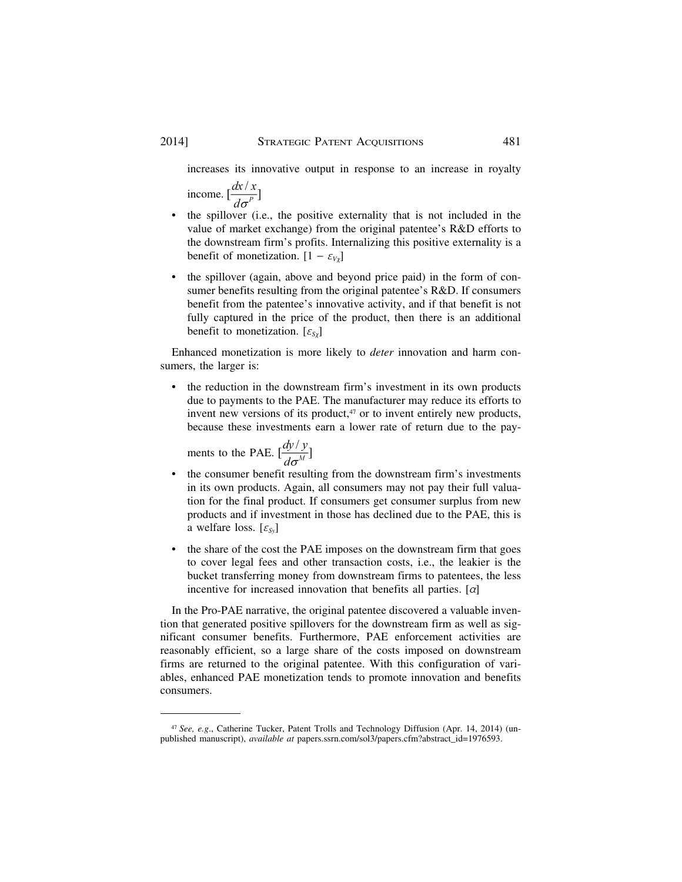increases its innovative output in response to an increase in royalty

income.  $\left[\frac{dx/x}{d\sigma^P}\right]$ 

- the spillover (i.e., the positive externality that is not included in the value of market exchange) from the original patentee's R&D efforts to the downstream firm's profits. Internalizing this positive externality is a benefit of monetization.  $[1 - \varepsilon_{V_{\chi}}]$
- the spillover (again, above and beyond price paid) in the form of consumer benefits resulting from the original patentee's R&D. If consumers benefit from the patentee's innovative activity, and if that benefit is not fully captured in the price of the product, then there is an additional benefit to monetization.  $[\varepsilon_{S_Y}]$

Enhanced monetization is more likely to *deter* innovation and harm consumers, the larger is:

• the reduction in the downstream firm's investment in its own products due to payments to the PAE. The manufacturer may reduce its efforts to invent new versions of its product, $47$  or to invent entirely new products, because these investments earn a lower rate of return due to the pay-

ments to the PAE. 
$$
\left[\frac{dy/y}{d\sigma^M}\right]
$$

- the consumer benefit resulting from the downstream firm's investments in its own products. Again, all consumers may not pay their full valuation for the final product. If consumers get consumer surplus from new products and if investment in those has declined due to the PAE, this is a welfare loss.  $[\varepsilon_{Sv}]$
- the share of the cost the PAE imposes on the downstream firm that goes to cover legal fees and other transaction costs, i.e., the leakier is the bucket transferring money from downstream firms to patentees, the less incentive for increased innovation that benefits all parties.  $\lceil \alpha \rceil$

In the Pro-PAE narrative, the original patentee discovered a valuable invention that generated positive spillovers for the downstream firm as well as significant consumer benefits. Furthermore, PAE enforcement activities are reasonably efficient, so a large share of the costs imposed on downstream firms are returned to the original patentee. With this configuration of variables, enhanced PAE monetization tends to promote innovation and benefits consumers.

<sup>47</sup> *See, e.g*., Catherine Tucker, Patent Trolls and Technology Diffusion (Apr. 14, 2014) (unpublished manuscript), *available at* papers.ssrn.com/sol3/papers.cfm?abstract\_id=1976593.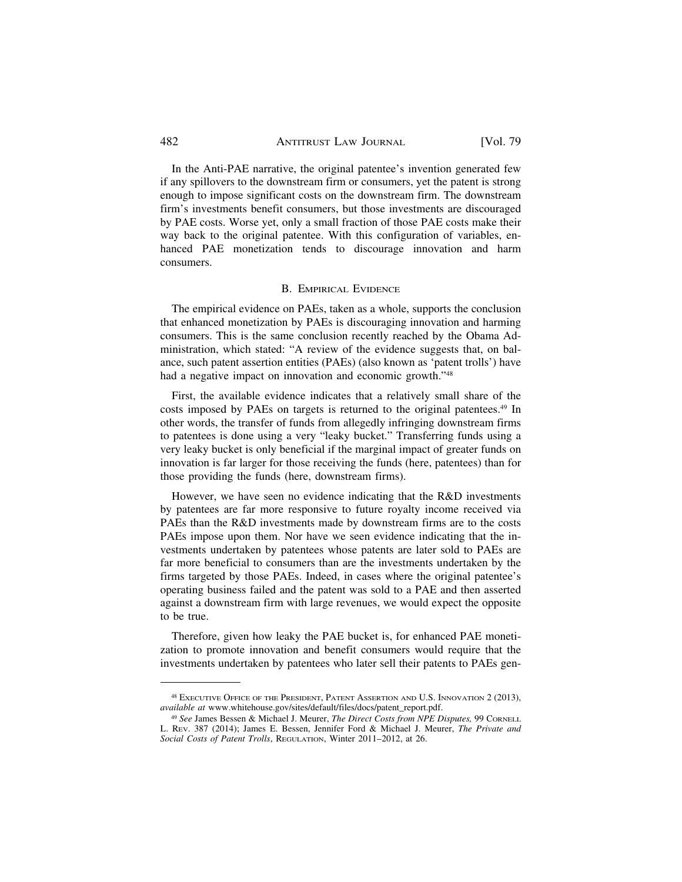In the Anti-PAE narrative, the original patentee's invention generated few if any spillovers to the downstream firm or consumers, yet the patent is strong enough to impose significant costs on the downstream firm. The downstream firm's investments benefit consumers, but those investments are discouraged by PAE costs. Worse yet, only a small fraction of those PAE costs make their way back to the original patentee. With this configuration of variables, enhanced PAE monetization tends to discourage innovation and harm consumers.

#### B. EMPIRICAL EVIDENCE

The empirical evidence on PAEs, taken as a whole, supports the conclusion that enhanced monetization by PAEs is discouraging innovation and harming consumers. This is the same conclusion recently reached by the Obama Administration, which stated: "A review of the evidence suggests that, on balance, such patent assertion entities (PAEs) (also known as 'patent trolls') have had a negative impact on innovation and economic growth.<sup>748</sup>

First, the available evidence indicates that a relatively small share of the costs imposed by PAEs on targets is returned to the original patentees.49 In other words, the transfer of funds from allegedly infringing downstream firms to patentees is done using a very "leaky bucket." Transferring funds using a very leaky bucket is only beneficial if the marginal impact of greater funds on innovation is far larger for those receiving the funds (here, patentees) than for those providing the funds (here, downstream firms).

However, we have seen no evidence indicating that the R&D investments by patentees are far more responsive to future royalty income received via PAEs than the R&D investments made by downstream firms are to the costs PAEs impose upon them. Nor have we seen evidence indicating that the investments undertaken by patentees whose patents are later sold to PAEs are far more beneficial to consumers than are the investments undertaken by the firms targeted by those PAEs. Indeed, in cases where the original patentee's operating business failed and the patent was sold to a PAE and then asserted against a downstream firm with large revenues, we would expect the opposite to be true.

Therefore, given how leaky the PAE bucket is, for enhanced PAE monetization to promote innovation and benefit consumers would require that the investments undertaken by patentees who later sell their patents to PAEs gen-

<sup>48</sup> EXECUTIVE OFFICE OF THE PRESIDENT, PATENT ASSERTION AND U.S. INNOVATION 2 (2013), *available at* www.whitehouse.gov/sites/default/files/docs/patent\_report.pdf.

<sup>49</sup> *See* James Bessen & Michael J. Meurer, *The Direct Costs from NPE Disputes,* 99 CORNELL L. REV. 387 (2014); James E. Bessen, Jennifer Ford & Michael J. Meurer, *The Private and Social Costs of Patent Trolls*, REGULATION, Winter 2011–2012, at 26.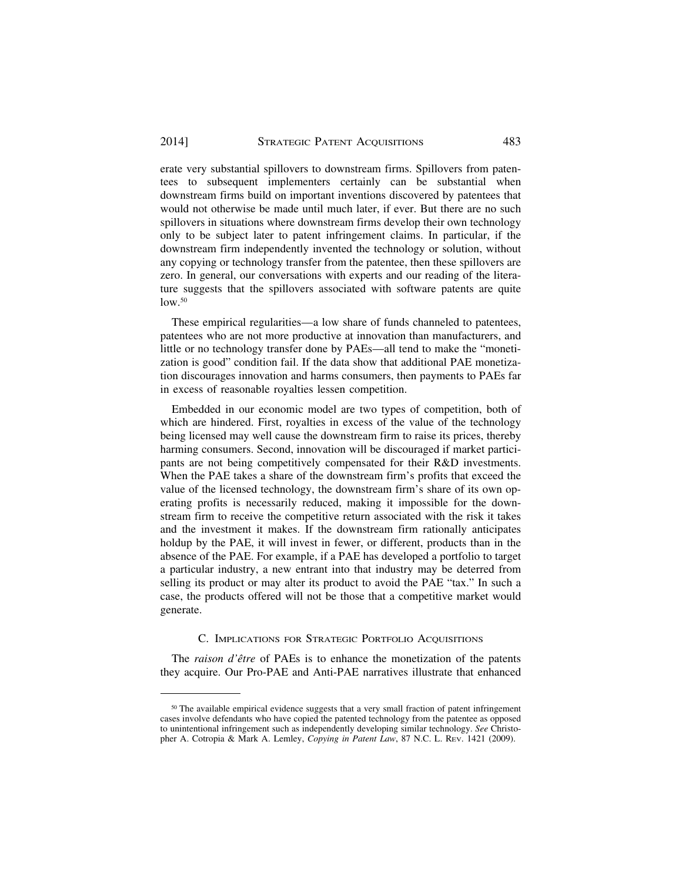erate very substantial spillovers to downstream firms. Spillovers from patentees to subsequent implementers certainly can be substantial when downstream firms build on important inventions discovered by patentees that would not otherwise be made until much later, if ever. But there are no such spillovers in situations where downstream firms develop their own technology only to be subject later to patent infringement claims. In particular, if the downstream firm independently invented the technology or solution, without any copying or technology transfer from the patentee, then these spillovers are zero. In general, our conversations with experts and our reading of the literature suggests that the spillovers associated with software patents are quite  $low.50$ 

These empirical regularities—a low share of funds channeled to patentees, patentees who are not more productive at innovation than manufacturers, and little or no technology transfer done by PAEs—all tend to make the "monetization is good" condition fail. If the data show that additional PAE monetization discourages innovation and harms consumers, then payments to PAEs far in excess of reasonable royalties lessen competition.

Embedded in our economic model are two types of competition, both of which are hindered. First, royalties in excess of the value of the technology being licensed may well cause the downstream firm to raise its prices, thereby harming consumers. Second, innovation will be discouraged if market participants are not being competitively compensated for their R&D investments. When the PAE takes a share of the downstream firm's profits that exceed the value of the licensed technology, the downstream firm's share of its own operating profits is necessarily reduced, making it impossible for the downstream firm to receive the competitive return associated with the risk it takes and the investment it makes. If the downstream firm rationally anticipates holdup by the PAE, it will invest in fewer, or different, products than in the absence of the PAE. For example, if a PAE has developed a portfolio to target a particular industry, a new entrant into that industry may be deterred from selling its product or may alter its product to avoid the PAE "tax." In such a case, the products offered will not be those that a competitive market would generate.

### C. IMPLICATIONS FOR STRATEGIC PORTFOLIO ACQUISITIONS

The *raison d'être* of PAEs is to enhance the monetization of the patents they acquire. Our Pro-PAE and Anti-PAE narratives illustrate that enhanced

<sup>50</sup> The available empirical evidence suggests that a very small fraction of patent infringement cases involve defendants who have copied the patented technology from the patentee as opposed to unintentional infringement such as independently developing similar technology. *See* Christopher A. Cotropia & Mark A. Lemley, *Copying in Patent Law*, 87 N.C. L. REV. 1421 (2009).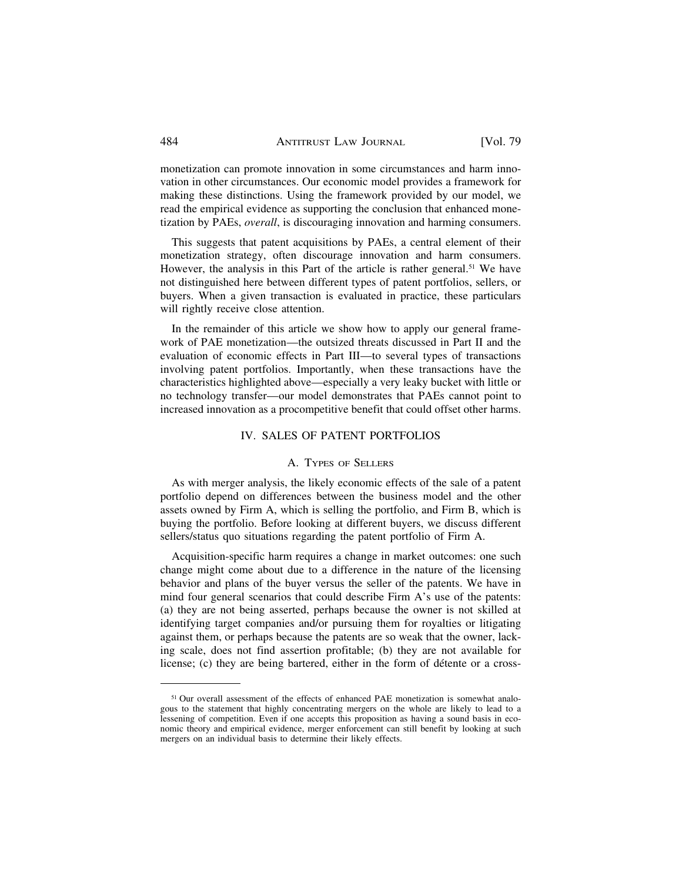monetization can promote innovation in some circumstances and harm innovation in other circumstances. Our economic model provides a framework for making these distinctions. Using the framework provided by our model, we read the empirical evidence as supporting the conclusion that enhanced monetization by PAEs, *overall*, is discouraging innovation and harming consumers.

This suggests that patent acquisitions by PAEs, a central element of their monetization strategy, often discourage innovation and harm consumers. However, the analysis in this Part of the article is rather general.<sup>51</sup> We have not distinguished here between different types of patent portfolios, sellers, or buyers. When a given transaction is evaluated in practice, these particulars will rightly receive close attention.

In the remainder of this article we show how to apply our general framework of PAE monetization—the outsized threats discussed in Part II and the evaluation of economic effects in Part III—to several types of transactions involving patent portfolios. Importantly, when these transactions have the characteristics highlighted above—especially a very leaky bucket with little or no technology transfer—our model demonstrates that PAEs cannot point to increased innovation as a procompetitive benefit that could offset other harms.

### IV. SALES OF PATENT PORTFOLIOS

#### A. TYPES OF SELLERS

As with merger analysis, the likely economic effects of the sale of a patent portfolio depend on differences between the business model and the other assets owned by Firm A, which is selling the portfolio, and Firm B, which is buying the portfolio. Before looking at different buyers, we discuss different sellers/status quo situations regarding the patent portfolio of Firm A.

Acquisition-specific harm requires a change in market outcomes: one such change might come about due to a difference in the nature of the licensing behavior and plans of the buyer versus the seller of the patents. We have in mind four general scenarios that could describe Firm A's use of the patents: (a) they are not being asserted, perhaps because the owner is not skilled at identifying target companies and/or pursuing them for royalties or litigating against them, or perhaps because the patents are so weak that the owner, lacking scale, does not find assertion profitable; (b) they are not available for license; (c) they are being bartered, either in the form of détente or a cross-

<sup>51</sup> Our overall assessment of the effects of enhanced PAE monetization is somewhat analogous to the statement that highly concentrating mergers on the whole are likely to lead to a lessening of competition. Even if one accepts this proposition as having a sound basis in economic theory and empirical evidence, merger enforcement can still benefit by looking at such mergers on an individual basis to determine their likely effects.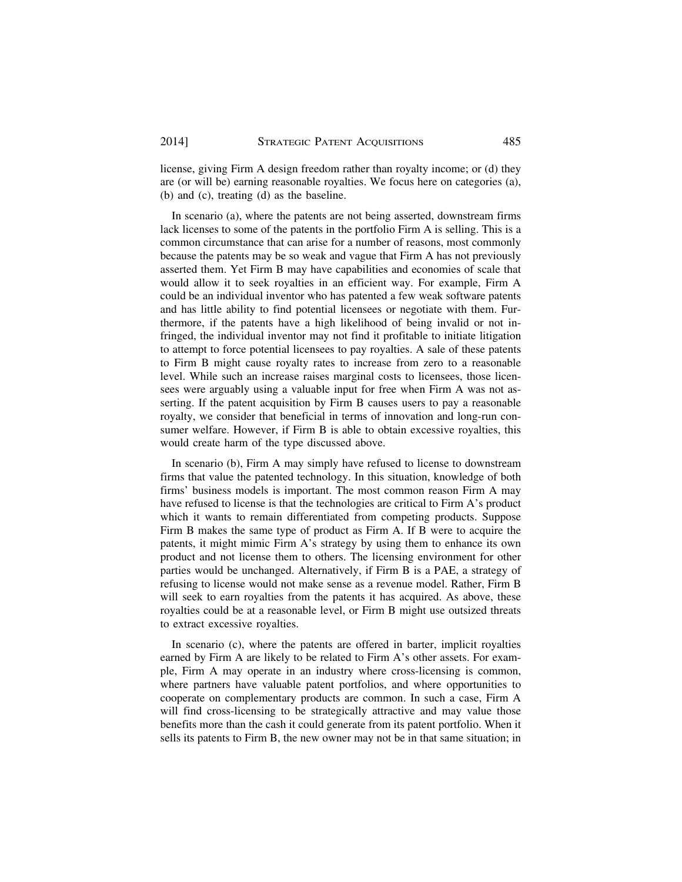license, giving Firm A design freedom rather than royalty income; or (d) they are (or will be) earning reasonable royalties. We focus here on categories (a), (b) and (c), treating (d) as the baseline.

In scenario (a), where the patents are not being asserted, downstream firms lack licenses to some of the patents in the portfolio Firm A is selling. This is a common circumstance that can arise for a number of reasons, most commonly because the patents may be so weak and vague that Firm A has not previously asserted them. Yet Firm B may have capabilities and economies of scale that would allow it to seek royalties in an efficient way. For example, Firm A could be an individual inventor who has patented a few weak software patents and has little ability to find potential licensees or negotiate with them. Furthermore, if the patents have a high likelihood of being invalid or not infringed, the individual inventor may not find it profitable to initiate litigation to attempt to force potential licensees to pay royalties. A sale of these patents to Firm B might cause royalty rates to increase from zero to a reasonable level. While such an increase raises marginal costs to licensees, those licensees were arguably using a valuable input for free when Firm A was not asserting. If the patent acquisition by Firm B causes users to pay a reasonable royalty, we consider that beneficial in terms of innovation and long-run consumer welfare. However, if Firm B is able to obtain excessive royalties, this would create harm of the type discussed above.

In scenario (b), Firm A may simply have refused to license to downstream firms that value the patented technology. In this situation, knowledge of both firms' business models is important. The most common reason Firm A may have refused to license is that the technologies are critical to Firm A's product which it wants to remain differentiated from competing products. Suppose Firm B makes the same type of product as Firm A. If B were to acquire the patents, it might mimic Firm A's strategy by using them to enhance its own product and not license them to others. The licensing environment for other parties would be unchanged. Alternatively, if Firm B is a PAE, a strategy of refusing to license would not make sense as a revenue model. Rather, Firm B will seek to earn royalties from the patents it has acquired. As above, these royalties could be at a reasonable level, or Firm B might use outsized threats to extract excessive royalties.

In scenario (c), where the patents are offered in barter, implicit royalties earned by Firm A are likely to be related to Firm A's other assets. For example, Firm A may operate in an industry where cross-licensing is common, where partners have valuable patent portfolios, and where opportunities to cooperate on complementary products are common. In such a case, Firm A will find cross-licensing to be strategically attractive and may value those benefits more than the cash it could generate from its patent portfolio. When it sells its patents to Firm B, the new owner may not be in that same situation; in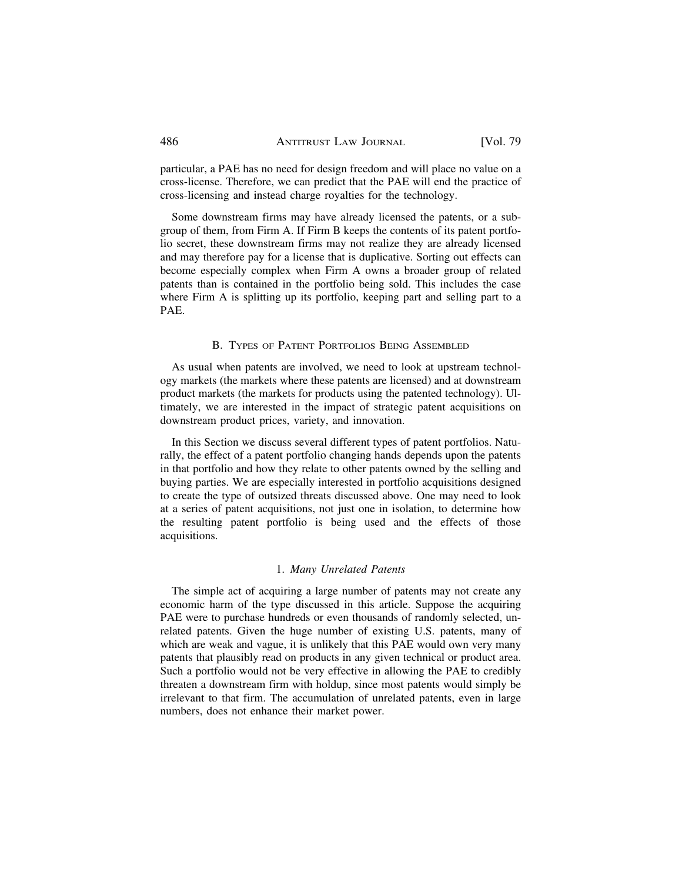particular, a PAE has no need for design freedom and will place no value on a cross-license. Therefore, we can predict that the PAE will end the practice of cross-licensing and instead charge royalties for the technology.

Some downstream firms may have already licensed the patents, or a subgroup of them, from Firm A. If Firm B keeps the contents of its patent portfolio secret, these downstream firms may not realize they are already licensed and may therefore pay for a license that is duplicative. Sorting out effects can become especially complex when Firm A owns a broader group of related patents than is contained in the portfolio being sold. This includes the case where Firm A is splitting up its portfolio, keeping part and selling part to a PAE.

# B. TYPES OF PATENT PORTFOLIOS BEING ASSEMBLED

As usual when patents are involved, we need to look at upstream technology markets (the markets where these patents are licensed) and at downstream product markets (the markets for products using the patented technology). Ultimately, we are interested in the impact of strategic patent acquisitions on downstream product prices, variety, and innovation.

In this Section we discuss several different types of patent portfolios. Naturally, the effect of a patent portfolio changing hands depends upon the patents in that portfolio and how they relate to other patents owned by the selling and buying parties. We are especially interested in portfolio acquisitions designed to create the type of outsized threats discussed above. One may need to look at a series of patent acquisitions, not just one in isolation, to determine how the resulting patent portfolio is being used and the effects of those acquisitions.

### 1. *Many Unrelated Patents*

The simple act of acquiring a large number of patents may not create any economic harm of the type discussed in this article. Suppose the acquiring PAE were to purchase hundreds or even thousands of randomly selected, unrelated patents. Given the huge number of existing U.S. patents, many of which are weak and vague, it is unlikely that this PAE would own very many patents that plausibly read on products in any given technical or product area. Such a portfolio would not be very effective in allowing the PAE to credibly threaten a downstream firm with holdup, since most patents would simply be irrelevant to that firm. The accumulation of unrelated patents, even in large numbers, does not enhance their market power.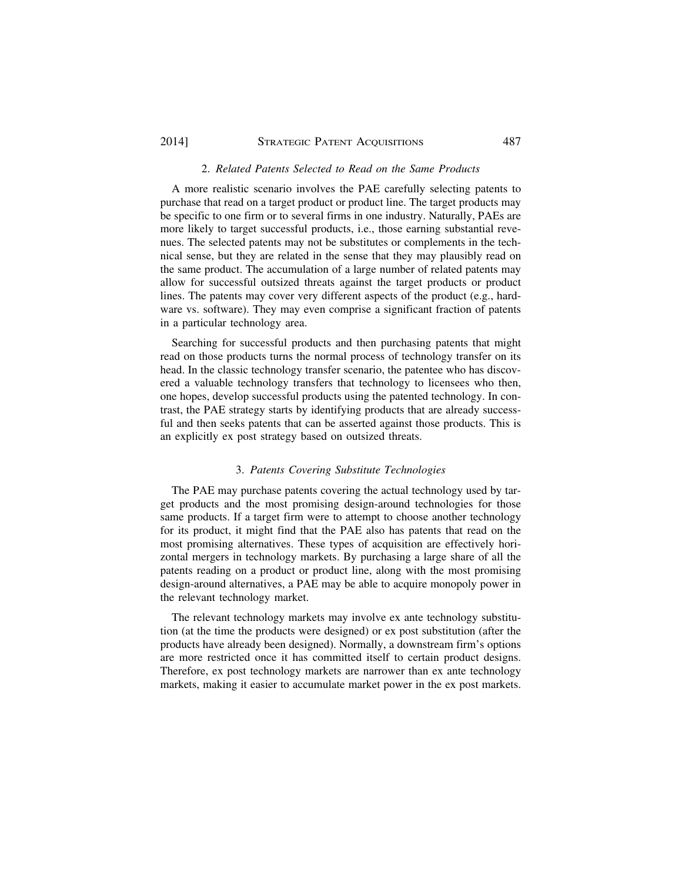# 2014] STRATEGIC PATENT ACQUISITIONS 487

# 2. *Related Patents Selected to Read on the Same Products*

A more realistic scenario involves the PAE carefully selecting patents to purchase that read on a target product or product line. The target products may be specific to one firm or to several firms in one industry. Naturally, PAEs are more likely to target successful products, i.e., those earning substantial revenues. The selected patents may not be substitutes or complements in the technical sense, but they are related in the sense that they may plausibly read on the same product. The accumulation of a large number of related patents may allow for successful outsized threats against the target products or product lines. The patents may cover very different aspects of the product (e.g., hardware vs. software). They may even comprise a significant fraction of patents in a particular technology area.

Searching for successful products and then purchasing patents that might read on those products turns the normal process of technology transfer on its head. In the classic technology transfer scenario, the patentee who has discovered a valuable technology transfers that technology to licensees who then, one hopes, develop successful products using the patented technology. In contrast, the PAE strategy starts by identifying products that are already successful and then seeks patents that can be asserted against those products. This is an explicitly ex post strategy based on outsized threats.

#### 3. *Patents Covering Substitute Technologies*

The PAE may purchase patents covering the actual technology used by target products and the most promising design-around technologies for those same products. If a target firm were to attempt to choose another technology for its product, it might find that the PAE also has patents that read on the most promising alternatives. These types of acquisition are effectively horizontal mergers in technology markets. By purchasing a large share of all the patents reading on a product or product line, along with the most promising design-around alternatives, a PAE may be able to acquire monopoly power in the relevant technology market.

The relevant technology markets may involve ex ante technology substitution (at the time the products were designed) or ex post substitution (after the products have already been designed). Normally, a downstream firm's options are more restricted once it has committed itself to certain product designs. Therefore, ex post technology markets are narrower than ex ante technology markets, making it easier to accumulate market power in the ex post markets.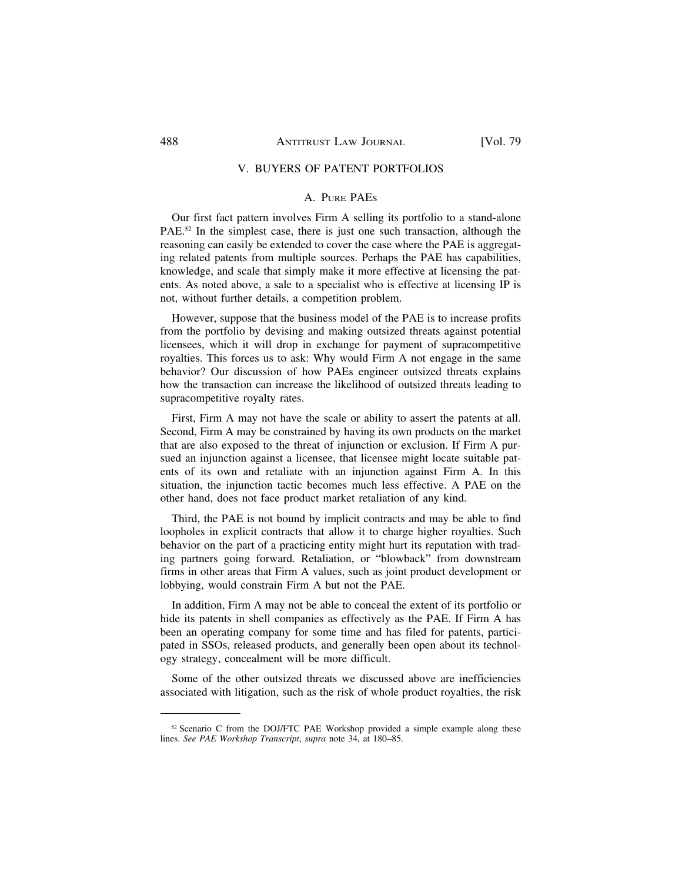# V. BUYERS OF PATENT PORTFOLIOS

# A. PURE PAES

Our first fact pattern involves Firm A selling its portfolio to a stand-alone PAE.<sup>52</sup> In the simplest case, there is just one such transaction, although the reasoning can easily be extended to cover the case where the PAE is aggregating related patents from multiple sources. Perhaps the PAE has capabilities, knowledge, and scale that simply make it more effective at licensing the patents. As noted above, a sale to a specialist who is effective at licensing IP is not, without further details, a competition problem.

However, suppose that the business model of the PAE is to increase profits from the portfolio by devising and making outsized threats against potential licensees, which it will drop in exchange for payment of supracompetitive royalties. This forces us to ask: Why would Firm A not engage in the same behavior? Our discussion of how PAEs engineer outsized threats explains how the transaction can increase the likelihood of outsized threats leading to supracompetitive royalty rates.

First, Firm A may not have the scale or ability to assert the patents at all. Second, Firm A may be constrained by having its own products on the market that are also exposed to the threat of injunction or exclusion. If Firm A pursued an injunction against a licensee, that licensee might locate suitable patents of its own and retaliate with an injunction against Firm A. In this situation, the injunction tactic becomes much less effective. A PAE on the other hand, does not face product market retaliation of any kind.

Third, the PAE is not bound by implicit contracts and may be able to find loopholes in explicit contracts that allow it to charge higher royalties. Such behavior on the part of a practicing entity might hurt its reputation with trading partners going forward. Retaliation, or "blowback" from downstream firms in other areas that Firm A values, such as joint product development or lobbying, would constrain Firm A but not the PAE.

In addition, Firm A may not be able to conceal the extent of its portfolio or hide its patents in shell companies as effectively as the PAE. If Firm A has been an operating company for some time and has filed for patents, participated in SSOs, released products, and generally been open about its technology strategy, concealment will be more difficult.

Some of the other outsized threats we discussed above are inefficiencies associated with litigation, such as the risk of whole product royalties, the risk

<sup>52</sup> Scenario C from the DOJ/FTC PAE Workshop provided a simple example along these lines. *See PAE Workshop Transcript*, *supra* note 34, at 180–85.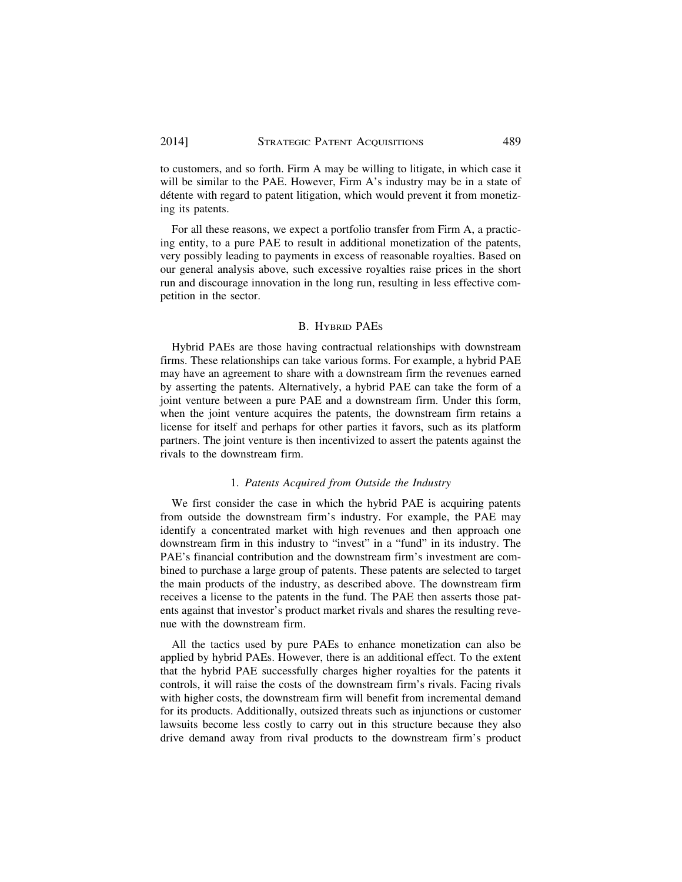to customers, and so forth. Firm A may be willing to litigate, in which case it will be similar to the PAE. However, Firm A's industry may be in a state of détente with regard to patent litigation, which would prevent it from monetizing its patents.

For all these reasons, we expect a portfolio transfer from Firm A, a practicing entity, to a pure PAE to result in additional monetization of the patents, very possibly leading to payments in excess of reasonable royalties. Based on our general analysis above, such excessive royalties raise prices in the short run and discourage innovation in the long run, resulting in less effective competition in the sector.

#### B. HYBRID PAES

Hybrid PAEs are those having contractual relationships with downstream firms. These relationships can take various forms. For example, a hybrid PAE may have an agreement to share with a downstream firm the revenues earned by asserting the patents. Alternatively, a hybrid PAE can take the form of a joint venture between a pure PAE and a downstream firm. Under this form, when the joint venture acquires the patents, the downstream firm retains a license for itself and perhaps for other parties it favors, such as its platform partners. The joint venture is then incentivized to assert the patents against the rivals to the downstream firm.

# 1. *Patents Acquired from Outside the Industry*

We first consider the case in which the hybrid PAE is acquiring patents from outside the downstream firm's industry. For example, the PAE may identify a concentrated market with high revenues and then approach one downstream firm in this industry to "invest" in a "fund" in its industry. The PAE's financial contribution and the downstream firm's investment are combined to purchase a large group of patents. These patents are selected to target the main products of the industry, as described above. The downstream firm receives a license to the patents in the fund. The PAE then asserts those patents against that investor's product market rivals and shares the resulting revenue with the downstream firm.

All the tactics used by pure PAEs to enhance monetization can also be applied by hybrid PAEs. However, there is an additional effect. To the extent that the hybrid PAE successfully charges higher royalties for the patents it controls, it will raise the costs of the downstream firm's rivals. Facing rivals with higher costs, the downstream firm will benefit from incremental demand for its products. Additionally, outsized threats such as injunctions or customer lawsuits become less costly to carry out in this structure because they also drive demand away from rival products to the downstream firm's product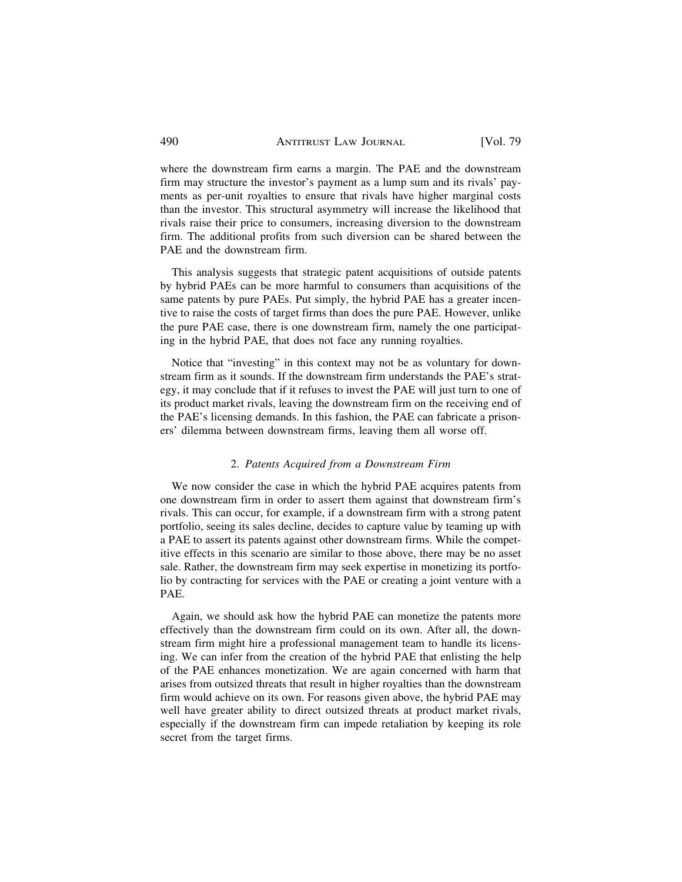where the downstream firm earns a margin. The PAE and the downstream firm may structure the investor's payment as a lump sum and its rivals' payments as per-unit royalties to ensure that rivals have higher marginal costs than the investor. This structural asymmetry will increase the likelihood that rivals raise their price to consumers, increasing diversion to the downstream firm. The additional profits from such diversion can be shared between the PAE and the downstream firm.

This analysis suggests that strategic patent acquisitions of outside patents by hybrid PAEs can be more harmful to consumers than acquisitions of the same patents by pure PAEs. Put simply, the hybrid PAE has a greater incentive to raise the costs of target firms than does the pure PAE. However, unlike the pure PAE case, there is one downstream firm, namely the one participating in the hybrid PAE, that does not face any running royalties.

Notice that "investing" in this context may not be as voluntary for downstream firm as it sounds. If the downstream firm understands the PAE's strategy, it may conclude that if it refuses to invest the PAE will just turn to one of its product market rivals, leaving the downstream firm on the receiving end of the PAE's licensing demands. In this fashion, the PAE can fabricate a prisoners' dilemma between downstream firms, leaving them all worse off.

#### 2. *Patents Acquired from a Downstream Firm*

We now consider the case in which the hybrid PAE acquires patents from one downstream firm in order to assert them against that downstream firm's rivals. This can occur, for example, if a downstream firm with a strong patent portfolio, seeing its sales decline, decides to capture value by teaming up with a PAE to assert its patents against other downstream firms. While the competitive effects in this scenario are similar to those above, there may be no asset sale. Rather, the downstream firm may seek expertise in monetizing its portfolio by contracting for services with the PAE or creating a joint venture with a PAE.

Again, we should ask how the hybrid PAE can monetize the patents more effectively than the downstream firm could on its own. After all, the downstream firm might hire a professional management team to handle its licensing. We can infer from the creation of the hybrid PAE that enlisting the help of the PAE enhances monetization. We are again concerned with harm that arises from outsized threats that result in higher royalties than the downstream firm would achieve on its own. For reasons given above, the hybrid PAE may well have greater ability to direct outsized threats at product market rivals, especially if the downstream firm can impede retaliation by keeping its role secret from the target firms.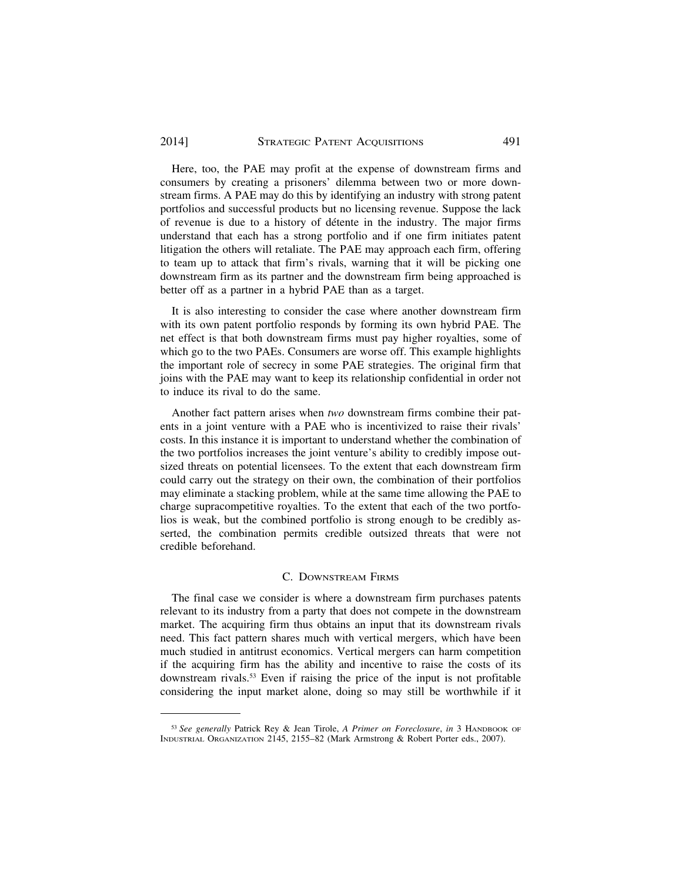Here, too, the PAE may profit at the expense of downstream firms and consumers by creating a prisoners' dilemma between two or more downstream firms. A PAE may do this by identifying an industry with strong patent portfolios and successful products but no licensing revenue. Suppose the lack of revenue is due to a history of d´etente in the industry. The major firms understand that each has a strong portfolio and if one firm initiates patent litigation the others will retaliate. The PAE may approach each firm, offering to team up to attack that firm's rivals, warning that it will be picking one downstream firm as its partner and the downstream firm being approached is better off as a partner in a hybrid PAE than as a target.

It is also interesting to consider the case where another downstream firm with its own patent portfolio responds by forming its own hybrid PAE. The net effect is that both downstream firms must pay higher royalties, some of which go to the two PAEs. Consumers are worse off. This example highlights the important role of secrecy in some PAE strategies. The original firm that joins with the PAE may want to keep its relationship confidential in order not to induce its rival to do the same.

Another fact pattern arises when *two* downstream firms combine their patents in a joint venture with a PAE who is incentivized to raise their rivals' costs. In this instance it is important to understand whether the combination of the two portfolios increases the joint venture's ability to credibly impose outsized threats on potential licensees. To the extent that each downstream firm could carry out the strategy on their own, the combination of their portfolios may eliminate a stacking problem, while at the same time allowing the PAE to charge supracompetitive royalties. To the extent that each of the two portfolios is weak, but the combined portfolio is strong enough to be credibly asserted, the combination permits credible outsized threats that were not credible beforehand.

# C. DOWNSTREAM FIRMS

The final case we consider is where a downstream firm purchases patents relevant to its industry from a party that does not compete in the downstream market. The acquiring firm thus obtains an input that its downstream rivals need. This fact pattern shares much with vertical mergers, which have been much studied in antitrust economics. Vertical mergers can harm competition if the acquiring firm has the ability and incentive to raise the costs of its downstream rivals.53 Even if raising the price of the input is not profitable considering the input market alone, doing so may still be worthwhile if it

<sup>53</sup> *See generally* Patrick Rey & Jean Tirole, *A Primer on Foreclosure*, *in* 3 HANDBOOK OF INDUSTRIAL ORGANIZATION 2145, 2155–82 (Mark Armstrong & Robert Porter eds., 2007).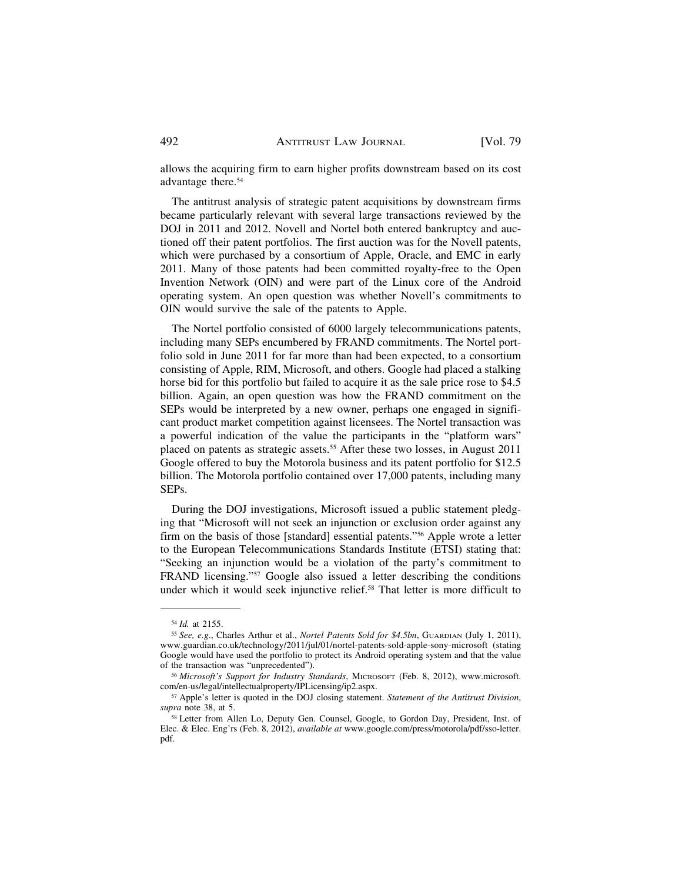allows the acquiring firm to earn higher profits downstream based on its cost advantage there.<sup>54</sup>

The antitrust analysis of strategic patent acquisitions by downstream firms became particularly relevant with several large transactions reviewed by the DOJ in 2011 and 2012. Novell and Nortel both entered bankruptcy and auctioned off their patent portfolios. The first auction was for the Novell patents, which were purchased by a consortium of Apple, Oracle, and EMC in early 2011. Many of those patents had been committed royalty-free to the Open Invention Network (OIN) and were part of the Linux core of the Android operating system. An open question was whether Novell's commitments to OIN would survive the sale of the patents to Apple.

The Nortel portfolio consisted of 6000 largely telecommunications patents, including many SEPs encumbered by FRAND commitments. The Nortel portfolio sold in June 2011 for far more than had been expected, to a consortium consisting of Apple, RIM, Microsoft, and others. Google had placed a stalking horse bid for this portfolio but failed to acquire it as the sale price rose to \$4.5 billion. Again, an open question was how the FRAND commitment on the SEPs would be interpreted by a new owner, perhaps one engaged in significant product market competition against licensees. The Nortel transaction was a powerful indication of the value the participants in the "platform wars" placed on patents as strategic assets.55 After these two losses, in August 2011 Google offered to buy the Motorola business and its patent portfolio for \$12.5 billion. The Motorola portfolio contained over 17,000 patents, including many SEPs.

During the DOJ investigations, Microsoft issued a public statement pledging that "Microsoft will not seek an injunction or exclusion order against any firm on the basis of those [standard] essential patents."56 Apple wrote a letter to the European Telecommunications Standards Institute (ETSI) stating that: "Seeking an injunction would be a violation of the party's commitment to FRAND licensing."<sup>57</sup> Google also issued a letter describing the conditions under which it would seek injunctive relief.<sup>58</sup> That letter is more difficult to

<sup>54</sup> *Id.* at 2155.

<sup>55</sup> *See, e.g*., Charles Arthur et al., *Nortel Patents Sold for \$4.5bn*, GUARDIAN (July 1, 2011), www.guardian.co.uk/technology/2011/jul/01/nortel-patents-sold-apple-sony-microsoft (stating Google would have used the portfolio to protect its Android operating system and that the value of the transaction was "unprecedented").

<sup>56</sup> *Microsoft's Support for Industry Standards*, MICROSOFT (Feb. 8, 2012), www.microsoft. com/en-us/legal/intellectualproperty/IPLicensing/ip2.aspx.

<sup>57</sup> Apple's letter is quoted in the DOJ closing statement. *Statement of the Antitrust Division*, *supra* note 38, at 5.

<sup>58</sup> Letter from Allen Lo, Deputy Gen. Counsel, Google, to Gordon Day, President, Inst. of Elec. & Elec. Eng'rs (Feb. 8, 2012), *available at* www.google.com/press/motorola/pdf/sso-letter. pdf.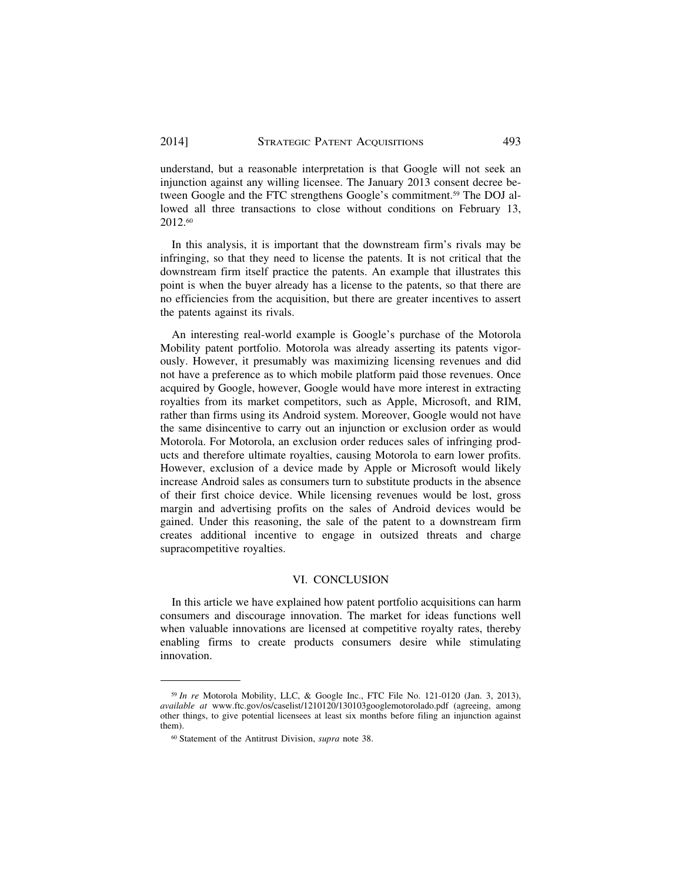understand, but a reasonable interpretation is that Google will not seek an injunction against any willing licensee. The January 2013 consent decree between Google and the FTC strengthens Google's commitment.59 The DOJ allowed all three transactions to close without conditions on February 13, 2012.60

In this analysis, it is important that the downstream firm's rivals may be infringing, so that they need to license the patents. It is not critical that the downstream firm itself practice the patents. An example that illustrates this point is when the buyer already has a license to the patents, so that there are no efficiencies from the acquisition, but there are greater incentives to assert the patents against its rivals.

An interesting real-world example is Google's purchase of the Motorola Mobility patent portfolio. Motorola was already asserting its patents vigorously. However, it presumably was maximizing licensing revenues and did not have a preference as to which mobile platform paid those revenues. Once acquired by Google, however, Google would have more interest in extracting royalties from its market competitors, such as Apple, Microsoft, and RIM, rather than firms using its Android system. Moreover, Google would not have the same disincentive to carry out an injunction or exclusion order as would Motorola. For Motorola, an exclusion order reduces sales of infringing products and therefore ultimate royalties, causing Motorola to earn lower profits. However, exclusion of a device made by Apple or Microsoft would likely increase Android sales as consumers turn to substitute products in the absence of their first choice device. While licensing revenues would be lost, gross margin and advertising profits on the sales of Android devices would be gained. Under this reasoning, the sale of the patent to a downstream firm creates additional incentive to engage in outsized threats and charge supracompetitive royalties.

#### VI. CONCLUSION

In this article we have explained how patent portfolio acquisitions can harm consumers and discourage innovation. The market for ideas functions well when valuable innovations are licensed at competitive royalty rates, thereby enabling firms to create products consumers desire while stimulating innovation.

<sup>59</sup> *In re* Motorola Mobility, LLC, & Google Inc., FTC File No. 121-0120 (Jan. 3, 2013), *available at* www.ftc.gov/os/caselist/1210120/130103googlemotorolado.pdf (agreeing, among other things, to give potential licensees at least six months before filing an injunction against them).

<sup>60</sup> Statement of the Antitrust Division, *supra* note 38.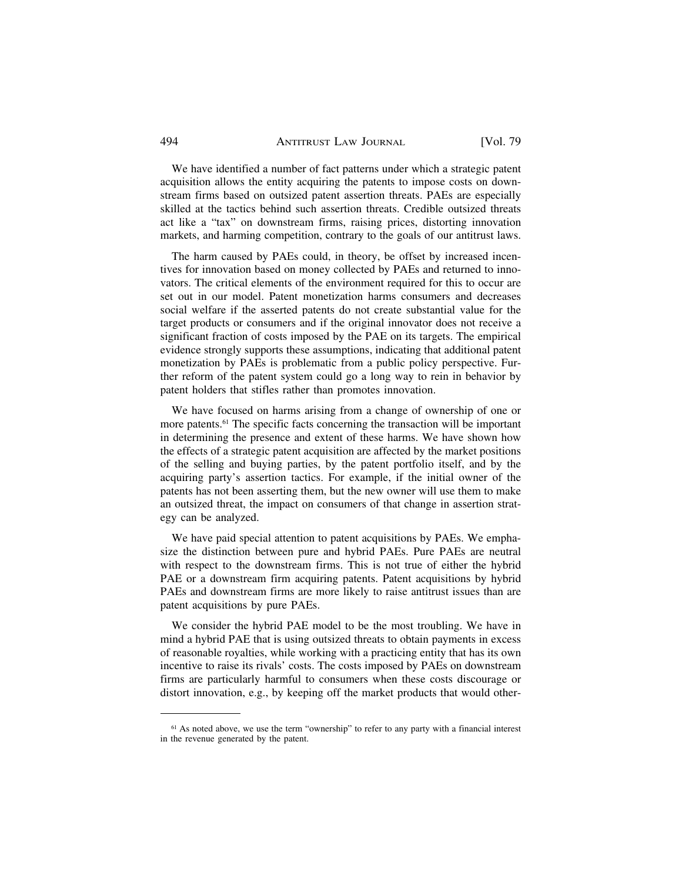We have identified a number of fact patterns under which a strategic patent acquisition allows the entity acquiring the patents to impose costs on downstream firms based on outsized patent assertion threats. PAEs are especially skilled at the tactics behind such assertion threats. Credible outsized threats act like a "tax" on downstream firms, raising prices, distorting innovation markets, and harming competition, contrary to the goals of our antitrust laws.

The harm caused by PAEs could, in theory, be offset by increased incentives for innovation based on money collected by PAEs and returned to innovators. The critical elements of the environment required for this to occur are set out in our model. Patent monetization harms consumers and decreases social welfare if the asserted patents do not create substantial value for the target products or consumers and if the original innovator does not receive a significant fraction of costs imposed by the PAE on its targets. The empirical evidence strongly supports these assumptions, indicating that additional patent monetization by PAEs is problematic from a public policy perspective. Further reform of the patent system could go a long way to rein in behavior by patent holders that stifles rather than promotes innovation.

We have focused on harms arising from a change of ownership of one or more patents.61 The specific facts concerning the transaction will be important in determining the presence and extent of these harms. We have shown how the effects of a strategic patent acquisition are affected by the market positions of the selling and buying parties, by the patent portfolio itself, and by the acquiring party's assertion tactics. For example, if the initial owner of the patents has not been asserting them, but the new owner will use them to make an outsized threat, the impact on consumers of that change in assertion strategy can be analyzed.

We have paid special attention to patent acquisitions by PAEs. We emphasize the distinction between pure and hybrid PAEs. Pure PAEs are neutral with respect to the downstream firms. This is not true of either the hybrid PAE or a downstream firm acquiring patents. Patent acquisitions by hybrid PAEs and downstream firms are more likely to raise antitrust issues than are patent acquisitions by pure PAEs.

We consider the hybrid PAE model to be the most troubling. We have in mind a hybrid PAE that is using outsized threats to obtain payments in excess of reasonable royalties, while working with a practicing entity that has its own incentive to raise its rivals' costs. The costs imposed by PAEs on downstream firms are particularly harmful to consumers when these costs discourage or distort innovation, e.g., by keeping off the market products that would other-

<sup>&</sup>lt;sup>61</sup> As noted above, we use the term "ownership" to refer to any party with a financial interest in the revenue generated by the patent.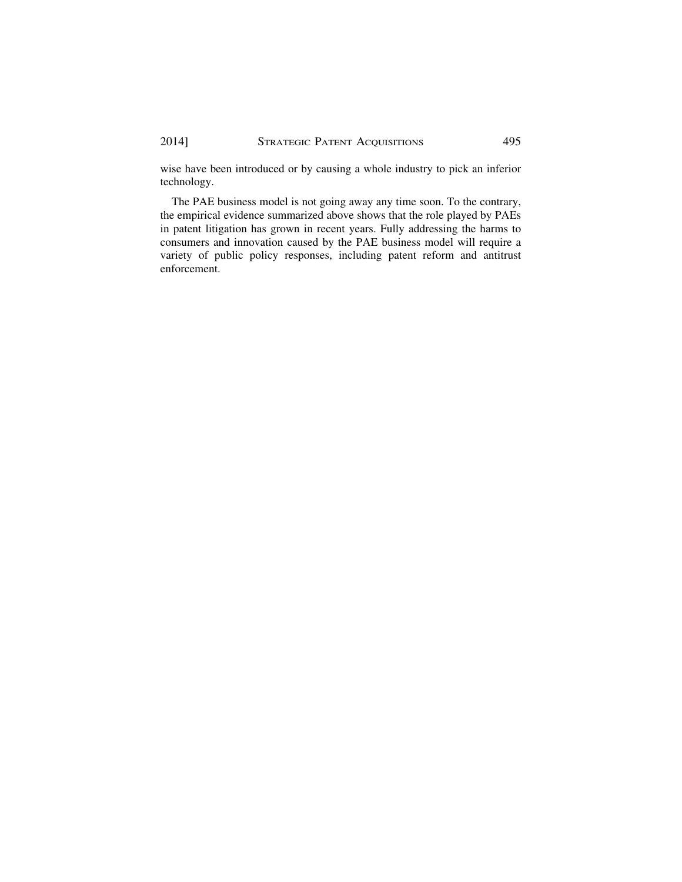wise have been introduced or by causing a whole industry to pick an inferior technology.

The PAE business model is not going away any time soon. To the contrary, the empirical evidence summarized above shows that the role played by PAEs in patent litigation has grown in recent years. Fully addressing the harms to consumers and innovation caused by the PAE business model will require a variety of public policy responses, including patent reform and antitrust enforcement.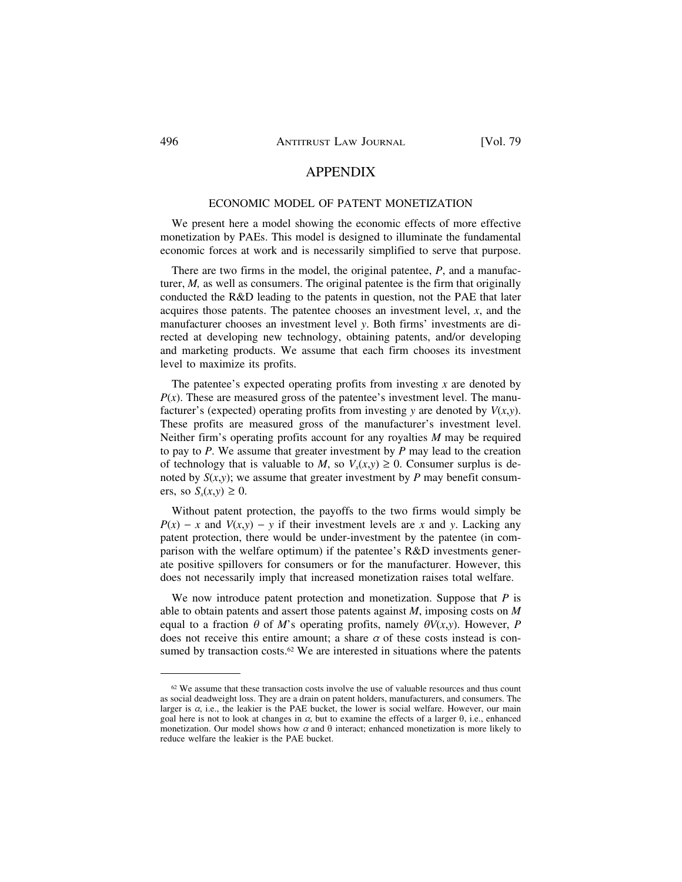# APPENDIX

# ECONOMIC MODEL OF PATENT MONETIZATION

We present here a model showing the economic effects of more effective monetization by PAEs. This model is designed to illuminate the fundamental economic forces at work and is necessarily simplified to serve that purpose.

There are two firms in the model, the original patentee, *P*, and a manufacturer, *M,* as well as consumers. The original patentee is the firm that originally conducted the R&D leading to the patents in question, not the PAE that later acquires those patents. The patentee chooses an investment level, *x*, and the manufacturer chooses an investment level *y*. Both firms' investments are directed at developing new technology, obtaining patents, and/or developing and marketing products. We assume that each firm chooses its investment level to maximize its profits.

The patentee's expected operating profits from investing *x* are denoted by  $P(x)$ . These are measured gross of the patentee's investment level. The manufacturer's (expected) operating profits from investing *y* are denoted by *V*(*x*,*y*). These profits are measured gross of the manufacturer's investment level. Neither firm's operating profits account for any royalties *M* may be required to pay to *P*. We assume that greater investment by *P* may lead to the creation of technology that is valuable to *M*, so  $V_x(x, y) \ge 0$ . Consumer surplus is denoted by  $S(x, y)$ ; we assume that greater investment by *P* may benefit consumers, so  $S_r(x,y) \geq 0$ .

Without patent protection, the payoffs to the two firms would simply be  $P(x) - x$  and  $V(x, y) - y$  if their investment levels are *x* and *y*. Lacking any patent protection, there would be under-investment by the patentee (in comparison with the welfare optimum) if the patentee's R&D investments generate positive spillovers for consumers or for the manufacturer. However, this does not necessarily imply that increased monetization raises total welfare.

We now introduce patent protection and monetization. Suppose that *P* is able to obtain patents and assert those patents against *M*, imposing costs on *M* equal to a fraction  $\theta$  of *M*'s operating profits, namely  $\theta V(x,y)$ . However, *P* does not receive this entire amount; a share  $\alpha$  of these costs instead is consumed by transaction costs.<sup>62</sup> We are interested in situations where the patents

<sup>62</sup> We assume that these transaction costs involve the use of valuable resources and thus count as social deadweight loss. They are a drain on patent holders, manufacturers, and consumers. The larger is  $\alpha$ , i.e., the leakier is the PAE bucket, the lower is social welfare. However, our main goal here is not to look at changes in  $\alpha$ , but to examine the effects of a larger  $\theta$ , i.e., enhanced monetization. Our model shows how  $\alpha$  and  $\theta$  interact; enhanced monetization is more likely to reduce welfare the leakier is the PAE bucket.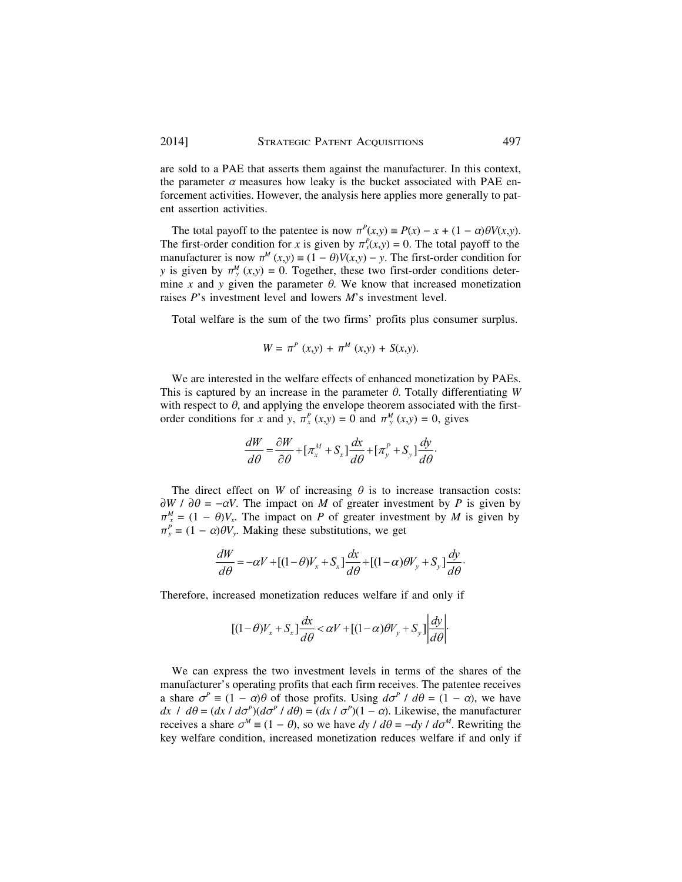are sold to a PAE that asserts them against the manufacturer. In this context, the parameter  $\alpha$  measures how leaky is the bucket associated with PAE enforcement activities. However, the analysis here applies more generally to patent assertion activities.

The total payoff to the patentee is now  $\pi^P(x, y) \equiv P(x) - x + (1 - \alpha)\theta V(x, y)$ . The first-order condition for *x* is given by  $\pi_x^P(x, y) = 0$ . The total payoff to the manufacturer is now  $\pi^{M}(x,y) \equiv (1 - \theta)V(x,y) - y$ . The first-order condition for *y* is given by  $\pi_y^M(x, y) = 0$ . Together, these two first-order conditions determine *x* and *y* given the parameter  $\theta$ . We know that increased monetization raises *P*'s investment level and lowers *M*'s investment level.

Total welfare is the sum of the two firms' profits plus consumer surplus.

$$
W = \pi^P(x, y) + \pi^M(x, y) + S(x, y).
$$

We are interested in the welfare effects of enhanced monetization by PAEs. This is captured by an increase in the parameter  $\theta$ . Totally differentiating *W* with respect to  $\theta$ , and applying the envelope theorem associated with the firstorder conditions for *x* and *y*,  $\pi_x^P(x,y) = 0$  and  $\pi_y^M(x,y) = 0$ , gives

$$
\frac{dW}{d\theta} = \frac{\partial W}{\partial \theta} + [\pi_x^M + S_x] \frac{dx}{d\theta} + [\pi_y^P + S_y] \frac{dy}{d\theta}.
$$

The direct effect on *W* of increasing  $\theta$  is to increase transaction costs:  $\partial W$  /  $\partial \theta = -\alpha V$ . The impact on *M* of greater investment by *P* is given by  $\pi^M$  =  $(1 - \theta)V_x$ . The impact on *P* of greater investment by *M* is given by  $\pi_y^P = (1 - \alpha)\theta V_y$ . Making these substitutions, we get

$$
\frac{dW}{d\theta} = -\alpha V + [(1-\theta)V_x + S_x] \frac{dx}{d\theta} + [(1-\alpha)\theta V_y + S_y] \frac{dy}{d\theta}.
$$

Therefore, increased monetization reduces welfare if and only if

$$
[(1-\theta)V_x + S_x] \frac{dx}{d\theta} < \alpha V + [(1-\alpha)\theta V_y + S_y] \frac{dy}{d\theta}.
$$

We can express the two investment levels in terms of the shares of the manufacturer's operating profits that each firm receives. The patentee receives a share  $\sigma^P \equiv (1 - \alpha)\theta$  of those profits. Using  $d\sigma^P$  /  $d\theta = (1 - \alpha)$ , we have  $dx / d\theta = (dx / d\sigma^P)(d\sigma^P / d\theta) = (dx / \sigma^P)(1 - \alpha)$ . Likewise, the manufacturer receives a share  $\sigma^M \equiv (1 - \theta)$ , so we have *dy* / *d* $\theta = -dy$  / *d* $\sigma^M$ . Rewriting the key welfare condition, increased monetization reduces welfare if and only if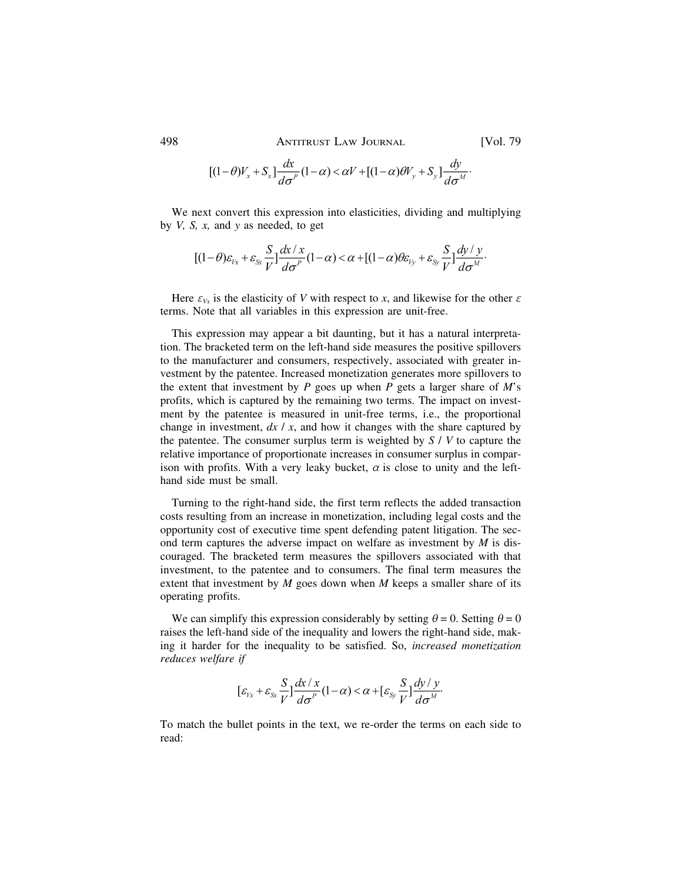498 **ANTITRUST LAW JOURNAL** [Vol. 79

$$
[(1-\theta)V_x+S_x]\frac{dx}{d\sigma^P}(1-\alpha)<\alpha V+[(1-\alpha)\theta V_y+S_y]\frac{dy}{d\sigma^M}.
$$

We next convert this expression into elasticities, dividing and multiplying by *V, S, x,* and *y* as needed, to get

$$
[(1-\theta)\varepsilon_{Vx}+\varepsilon_{Sx}\frac{S}{V}]\frac{dx/x}{d\sigma^P}(1-\alpha)<\alpha+[(1-\alpha)\theta\varepsilon_{Vy}+\varepsilon_{Sy}\frac{S}{V}]\frac{dy/y}{d\sigma^M}.
$$

Here  $\varepsilon_{Vx}$  is the elasticity of *V* with respect to *x*, and likewise for the other  $\varepsilon$ terms. Note that all variables in this expression are unit-free.

This expression may appear a bit daunting, but it has a natural interpretation. The bracketed term on the left-hand side measures the positive spillovers to the manufacturer and consumers, respectively, associated with greater investment by the patentee. Increased monetization generates more spillovers to the extent that investment by  $P$  goes up when  $P$  gets a larger share of  $M$ 's profits, which is captured by the remaining two terms. The impact on investment by the patentee is measured in unit-free terms, i.e., the proportional change in investment, *dx* / *x*, and how it changes with the share captured by the patentee. The consumer surplus term is weighted by *S* / *V* to capture the relative importance of proportionate increases in consumer surplus in comparison with profits. With a very leaky bucket,  $\alpha$  is close to unity and the lefthand side must be small.

Turning to the right-hand side, the first term reflects the added transaction costs resulting from an increase in monetization, including legal costs and the opportunity cost of executive time spent defending patent litigation. The second term captures the adverse impact on welfare as investment by *M* is discouraged. The bracketed term measures the spillovers associated with that investment, to the patentee and to consumers. The final term measures the extent that investment by *M* goes down when *M* keeps a smaller share of its operating profits.

We can simplify this expression considerably by setting  $\theta = 0$ . Setting  $\theta = 0$ raises the left-hand side of the inequality and lowers the right-hand side, making it harder for the inequality to be satisfied. So, *increased monetization reduces welfare if*

$$
[\varepsilon_{Vx}+\varepsilon_{Sx}\frac{S}{V}]\frac{dx/x}{d\sigma^P}(1-\alpha)<\alpha+[\varepsilon_{Sy}\frac{S}{V}]\frac{dy/y}{d\sigma^M}.
$$

To match the bullet points in the text, we re-order the terms on each side to read: